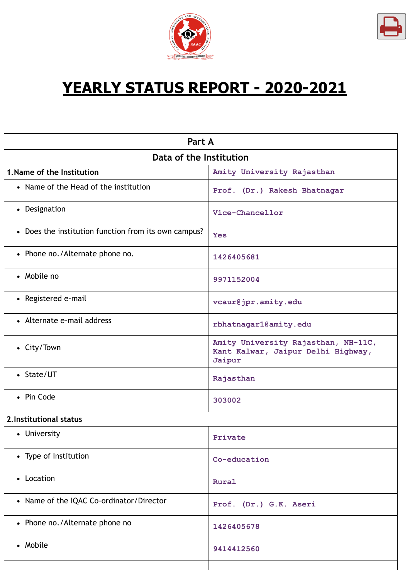



٦

# **YEARLY STATUS REPORT - 2020-2021**

| Part A                                               |                                                                                     |  |  |
|------------------------------------------------------|-------------------------------------------------------------------------------------|--|--|
| Data of the Institution                              |                                                                                     |  |  |
| 1. Name of the Institution                           | Amity University Rajasthan                                                          |  |  |
| • Name of the Head of the institution                | Prof. (Dr.) Rakesh Bhatnagar                                                        |  |  |
| • Designation                                        | Vice-Chancellor                                                                     |  |  |
| • Does the institution function from its own campus? | <b>Yes</b>                                                                          |  |  |
| • Phone no./Alternate phone no.                      | 1426405681                                                                          |  |  |
| • Mobile no                                          | 9971152004                                                                          |  |  |
| • Registered e-mail                                  | vcaur@jpr.amity.edu                                                                 |  |  |
| • Alternate e-mail address                           | rbhatnagar1@amity.edu                                                               |  |  |
| • City/Town                                          | Amity University Rajasthan, NH-11C,<br>Kant Kalwar, Jaipur Delhi Highway,<br>Jaipur |  |  |
| • State/UT                                           | Rajasthan                                                                           |  |  |
| • Pin Code                                           | 303002                                                                              |  |  |
| 2. Institutional status                              |                                                                                     |  |  |
| • University                                         | Private                                                                             |  |  |
| • Type of Institution                                | Co-education                                                                        |  |  |
| • Location                                           | Rural                                                                               |  |  |
| • Name of the IQAC Co-ordinator/Director             | Prof. (Dr.) G.K. Aseri                                                              |  |  |
| • Phone no./Alternate phone no                       | 1426405678                                                                          |  |  |
| • Mobile                                             | 9414412560                                                                          |  |  |
|                                                      |                                                                                     |  |  |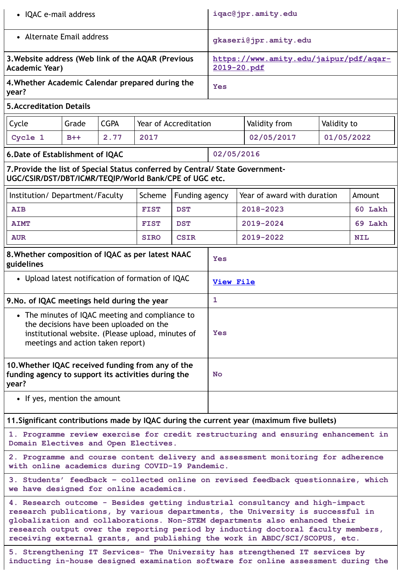| • IQAC e-mail address                                                                                                                                                                                                                                                                                                                                                                                           |                                                                       | iqac@jpr.amity.edu                                    |             |                              |            |                             |             |            |
|-----------------------------------------------------------------------------------------------------------------------------------------------------------------------------------------------------------------------------------------------------------------------------------------------------------------------------------------------------------------------------------------------------------------|-----------------------------------------------------------------------|-------------------------------------------------------|-------------|------------------------------|------------|-----------------------------|-------------|------------|
| • Alternate Email address                                                                                                                                                                                                                                                                                                                                                                                       |                                                                       | gkaseri@jpr.amity.edu                                 |             |                              |            |                             |             |            |
| 3. Website address (Web link of the AQAR (Previous<br>Academic Year)                                                                                                                                                                                                                                                                                                                                            |                                                                       | https://www.amity.edu/jaipur/pdf/aqar-<br>2019-20.pdf |             |                              |            |                             |             |            |
| 4. Whether Academic Calendar prepared during the<br>year?                                                                                                                                                                                                                                                                                                                                                       |                                                                       |                                                       |             |                              | <b>Yes</b> |                             |             |            |
| <b>5. Accreditation Details</b>                                                                                                                                                                                                                                                                                                                                                                                 |                                                                       |                                                       |             |                              |            |                             |             |            |
| Cycle                                                                                                                                                                                                                                                                                                                                                                                                           | Grade                                                                 | <b>CGPA</b>                                           |             | <b>Year of Accreditation</b> |            | Validity from               | Validity to |            |
| Cycle 1                                                                                                                                                                                                                                                                                                                                                                                                         | $B++$                                                                 | 2.77                                                  | 2017        |                              |            | 02/05/2017                  | 01/05/2022  |            |
| 6. Date of Establishment of IQAC                                                                                                                                                                                                                                                                                                                                                                                |                                                                       |                                                       |             |                              | 02/05/2016 |                             |             |            |
| 7. Provide the list of Special Status conferred by Central/ State Government-<br>UGC/CSIR/DST/DBT/ICMR/TEQIP/World Bank/CPE of UGC etc.                                                                                                                                                                                                                                                                         |                                                                       |                                                       |             |                              |            |                             |             |            |
| Institution/Department/Faculty                                                                                                                                                                                                                                                                                                                                                                                  |                                                                       |                                                       | Scheme      | Funding agency               |            | Year of award with duration |             | Amount     |
| <b>AIB</b>                                                                                                                                                                                                                                                                                                                                                                                                      |                                                                       |                                                       | <b>FIST</b> | <b>DST</b>                   |            | 2018-2023                   |             | 60 Lakh    |
| <b>AIMT</b>                                                                                                                                                                                                                                                                                                                                                                                                     |                                                                       |                                                       | <b>FIST</b> | <b>DST</b>                   |            | 2019-2024                   |             | 69 Lakh    |
| <b>AUR</b>                                                                                                                                                                                                                                                                                                                                                                                                      |                                                                       |                                                       | <b>SIRO</b> | <b>CSIR</b>                  | 2019-2022  |                             |             | <b>NIL</b> |
| 8. Whether composition of IQAC as per latest NAAC<br>guidelines                                                                                                                                                                                                                                                                                                                                                 |                                                                       |                                                       |             |                              | Yes        |                             |             |            |
|                                                                                                                                                                                                                                                                                                                                                                                                                 | • Upload latest notification of formation of IQAC<br><b>View File</b> |                                                       |             |                              |            |                             |             |            |
| 1<br>9. No. of IQAC meetings held during the year                                                                                                                                                                                                                                                                                                                                                               |                                                                       |                                                       |             |                              |            |                             |             |            |
| • The minutes of IQAC meeting and compliance to<br>the decisions have been uploaded on the<br>institutional website. (Please upload, minutes of<br>meetings and action taken report)                                                                                                                                                                                                                            |                                                                       |                                                       | Yes         |                              |            |                             |             |            |
| 10. Whether IQAC received funding from any of the<br>funding agency to support its activities during the<br><b>No</b><br>year?                                                                                                                                                                                                                                                                                  |                                                                       |                                                       |             |                              |            |                             |             |            |
| • If yes, mention the amount                                                                                                                                                                                                                                                                                                                                                                                    |                                                                       |                                                       |             |                              |            |                             |             |            |
| 11. Significant contributions made by IQAC during the current year (maximum five bullets)                                                                                                                                                                                                                                                                                                                       |                                                                       |                                                       |             |                              |            |                             |             |            |
| 1. Programme review exercise for credit restructuring and ensuring enhancement in<br>Domain Electives and Open Electives.                                                                                                                                                                                                                                                                                       |                                                                       |                                                       |             |                              |            |                             |             |            |
| 2. Programme and course content delivery and assessment monitoring for adherence<br>with online academics during COVID-19 Pandemic.                                                                                                                                                                                                                                                                             |                                                                       |                                                       |             |                              |            |                             |             |            |
| 3. Students' feedback - collected online on revised feedback questionnaire, which<br>we have designed for online academics.                                                                                                                                                                                                                                                                                     |                                                                       |                                                       |             |                              |            |                             |             |            |
| 4. Research outcome - Besides getting industrial consultancy and high-impact<br>research publications, by various departments, the University is successful in<br>globalization and collaborations. Non-STEM departments also enhanced their<br>research output over the reporting period by inducting doctoral faculty members,<br>receiving external grants, and publishing the work in ABDC/SCI/SCOPUS, etc. |                                                                       |                                                       |             |                              |            |                             |             |            |

**5. Strengthening IT Services- The University has strengthened IT services by inducting in-house designed examination software for online assessment during the**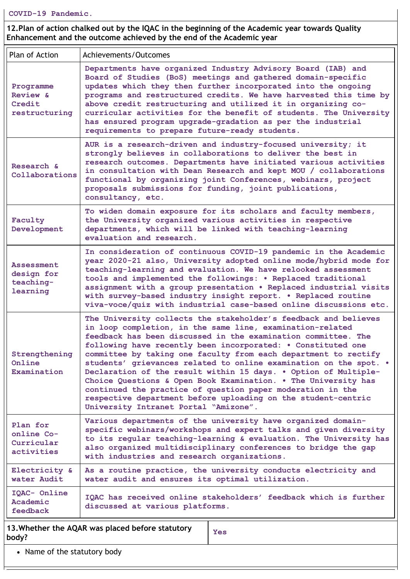**12.Plan of action chalked out by the IQAC in the beginning of the Academic year towards Quality Enhancement and the outcome achieved by the end of the Academic year**

| Plan of Action                                           | Achievements/Outcomes                                                                                                                                                                                                                                                                                                                                                                                                                                                                                                                                                                                                                                                                                              |  |
|----------------------------------------------------------|--------------------------------------------------------------------------------------------------------------------------------------------------------------------------------------------------------------------------------------------------------------------------------------------------------------------------------------------------------------------------------------------------------------------------------------------------------------------------------------------------------------------------------------------------------------------------------------------------------------------------------------------------------------------------------------------------------------------|--|
| Programme<br>Review &<br>Credit<br>restructuring         | Departments have organized Industry Advisory Board (IAB) and<br>Board of Studies (BoS) meetings and gathered domain-specific<br>updates which they then further incorporated into the ongoing<br>programs and restructured credits. We have harvested this time by<br>above credit restructuring and utilized it in organizing co-<br>curricular activities for the benefit of students. The University<br>has ensured program upgrade-gradation as per the industrial<br>requirements to prepare future-ready students.                                                                                                                                                                                           |  |
| Research &<br>Collaborations                             | AUR is a research-driven and industry-focused university; it<br>strongly believes in collaborations to deliver the best in<br>research outcomes. Departments have initiated various activities<br>in consultation with Dean Research and kept MOU / collaborations<br>functional by organizing joint Conferences, webinars, project<br>proposals submissions for funding, joint publications,<br>consultancy, etc.                                                                                                                                                                                                                                                                                                 |  |
| Faculty<br>Development                                   | To widen domain exposure for its scholars and faculty members,<br>the University organized various activities in respective<br>departments, which will be linked with teaching-learning<br>evaluation and research.                                                                                                                                                                                                                                                                                                                                                                                                                                                                                                |  |
| <b>Assessment</b><br>design for<br>teaching-<br>learning | In consideration of continuous COVID-19 pandemic in the Academic<br>year 2020-21 also, University adopted online mode/hybrid mode for<br>teaching-learning and evaluation. We have relooked assessment<br>tools and implemented the followings: . Replaced traditional<br>assignment with a group presentation . Replaced industrial visits<br>with survey-based industry insight report. . Replaced routine<br>viva-voce/quiz with industrial case-based online discussions etc.                                                                                                                                                                                                                                  |  |
| Strengthening<br>Online<br>Examination                   | The University collects the stakeholder's feedback and believes<br>in loop completion, in the same line, examination-related<br>feedback has been discussed in the examination committee. The<br>following have recently been incorporated: . Constituted one<br>committee by taking one faculty from each department to rectify<br>students' grievances related to online examination on the spot. .<br>Declaration of the result within 15 days. . Option of Multiple-<br>Choice Questions & Open Book Examination. . The University has<br>continued the practice of question paper moderation in the<br>respective department before uploading on the student-centric<br>University Intranet Portal "Amizone". |  |
| Plan for<br>online Co-<br>Curricular<br>activities       | Various departments of the university have organized domain-<br>specific webinars/workshops and expert talks and given diversity<br>to its regular teaching-learning & evaluation. The University has<br>also organized multidisciplinary conferences to bridge the gap<br>with industries and research organizations.                                                                                                                                                                                                                                                                                                                                                                                             |  |
| Electricity &<br>water Audit                             | As a routine practice, the university conducts electricity and<br>water audit and ensures its optimal utilization.                                                                                                                                                                                                                                                                                                                                                                                                                                                                                                                                                                                                 |  |
| IQAC- Online<br>Academic<br>feedback                     | IQAC has received online stakeholders' feedback which is further<br>discussed at various platforms.                                                                                                                                                                                                                                                                                                                                                                                                                                                                                                                                                                                                                |  |
|                                                          | 13. Whether the AQAR was placed before statutory<br>Yes                                                                                                                                                                                                                                                                                                                                                                                                                                                                                                                                                                                                                                                            |  |

• Name of the statutory body

**body?**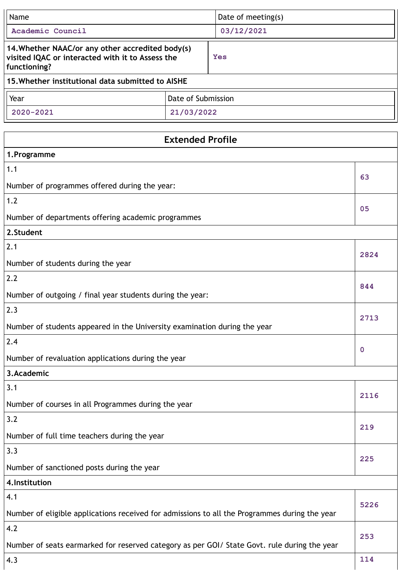| Name                                                                                                                 |                         | Date of meeting(s) |             |
|----------------------------------------------------------------------------------------------------------------------|-------------------------|--------------------|-------------|
| Academic Council                                                                                                     |                         | 03/12/2021         |             |
| 14. Whether NAAC/or any other accredited body(s)<br>visited IQAC or interacted with it to Assess the<br>functioning? |                         | Yes                |             |
| 15. Whether institutional data submitted to AISHE                                                                    |                         |                    |             |
| Year                                                                                                                 | Date of Submission      |                    |             |
| 2020-2021                                                                                                            | 21/03/2022              |                    |             |
|                                                                                                                      |                         |                    |             |
|                                                                                                                      | <b>Extended Profile</b> |                    |             |
| 1.Programme<br>1.1                                                                                                   |                         |                    |             |
|                                                                                                                      |                         |                    | 63          |
| Number of programmes offered during the year:<br>1.2                                                                 |                         |                    |             |
|                                                                                                                      |                         |                    | 05          |
| Number of departments offering academic programmes                                                                   |                         |                    |             |
| 2.Student<br>2.1                                                                                                     |                         |                    |             |
|                                                                                                                      |                         |                    | 2824        |
| Number of students during the year<br>2.2                                                                            |                         |                    |             |
|                                                                                                                      |                         | 844                |             |
| Number of outgoing / final year students during the year:                                                            |                         |                    |             |
| 2.3                                                                                                                  |                         |                    | 2713        |
| Number of students appeared in the University examination during the year                                            |                         |                    |             |
| 2.4                                                                                                                  |                         |                    | $\mathbf 0$ |
| Number of revaluation applications during the year                                                                   |                         |                    |             |
| 3.Academic                                                                                                           |                         |                    |             |
| 3.1                                                                                                                  |                         |                    | 2116        |
| Number of courses in all Programmes during the year                                                                  |                         |                    |             |
| 3.2                                                                                                                  |                         | 219                |             |
| Number of full time teachers during the year                                                                         |                         |                    |             |
| 3.3                                                                                                                  |                         | 225                |             |
| Number of sanctioned posts during the year                                                                           |                         |                    |             |
| 4. Institution                                                                                                       |                         |                    |             |
| 4.1                                                                                                                  |                         |                    | 5226        |
| Number of eligible applications received for admissions to all the Programmes during the year                        |                         |                    |             |
| 4.2                                                                                                                  |                         |                    | 253         |
| Number of seats earmarked for reserved category as per GOI/ State Govt. rule during the year                         |                         |                    |             |
| 4.3                                                                                                                  |                         |                    | 114         |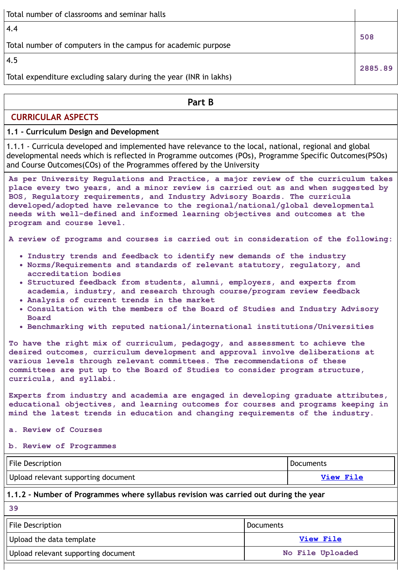| Total number of classrooms and seminar halls                      |         |
|-------------------------------------------------------------------|---------|
| 4.4                                                               | 508     |
| Total number of computers in the campus for academic purpose      |         |
| 4.5                                                               | 2885.89 |
| Total expenditure excluding salary during the year (INR in lakhs) |         |
|                                                                   |         |

### **Part B**

### **CURRICULAR ASPECTS**

### **1.1 - Curriculum Design and Development**

1.1.1 - Curricula developed and implemented have relevance to the local, national, regional and global developmental needs which is reflected in Programme outcomes (POs), Programme Specific Outcomes(PSOs) and Course Outcomes(COs) of the Programmes offered by the University

**As per University Regulations and Practice, a major review of the curriculum takes place every two years, and a minor review is carried out as and when suggested by BOS, Regulatory requirements, and Industry Advisory Boards. The curricula developed/adopted have relevance to the regional/national/global developmental needs with well-defined and informed learning objectives and outcomes at the program and course level.**

**A review of programs and courses is carried out in consideration of the following:**

- **Industry trends and feedback to identify new demands of the industry**
- **Norms/Requirements and standards of relevant statutory, regulatory, and accreditation bodies**
- **Structured feedback from students, alumni, employers, and experts from academia, industry, and research through course/program review feedback**
- **Analysis of current trends in the market**
- **Consultation with the members of the Board of Studies and Industry Advisory Board**
- **Benchmarking with reputed national/international institutions/Universities**

**To have the right mix of curriculum, pedagogy, and assessment to achieve the desired outcomes, curriculum development and approval involve deliberations at various levels through relevant committees. The recommendations of these committees are put up to the Board of Studies to consider program structure, curricula, and syllabi.**

**Experts from industry and academia are engaged in developing graduate attributes, educational objectives, and learning outcomes for courses and programs keeping in mind the latest trends in education and changing requirements of the industry.**

**a. Review of Courses**

**b. Review of Programmes**

| <b>File Description</b>             | Documents        |
|-------------------------------------|------------------|
| Upload relevant supporting document | <b>View File</b> |

### **1.1.2 - Number of Programmes where syllabus revision was carried out during the year**

**39**

| File Description                    | <b>Documents</b> |
|-------------------------------------|------------------|
| Upload the data template            | View File        |
| Upload relevant supporting document | No File Uploaded |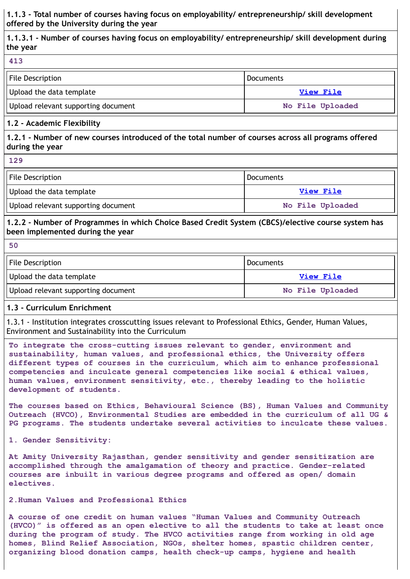**1.1.3 - Total number of courses having focus on employability/ entrepreneurship/ skill development offered by the University during the year**

**1.1.3.1 - Number of courses having focus on employability/ entrepreneurship/ skill development during the year**

| 413                                 |                  |
|-------------------------------------|------------------|
| File Description                    | <b>Documents</b> |
| Upload the data template            | View File        |
| Upload relevant supporting document | No File Uploaded |

#### **1.2 - Academic Flexibility**

**1.2.1 - Number of new courses introduced of the total number of courses across all programs offered during the year**

| P)<br>۰, | ۰.<br>w<br>× |  |
|----------|--------------|--|
|          |              |  |

| File Description                    | Documents        |
|-------------------------------------|------------------|
| Upload the data template            | View File        |
| Upload relevant supporting document | No File Uploaded |

### **1.2.2 - Number of Programmes in which Choice Based Credit System (CBCS)/elective course system has been implemented during the year**

#### **50**

| File Description                    | Documents        |
|-------------------------------------|------------------|
| Upload the data template            | View File        |
| Upload relevant supporting document | No File Uploaded |

### **1.3 - Curriculum Enrichment**

1.3.1 - Institution integrates crosscutting issues relevant to Professional Ethics, Gender, Human Values, Environment and Sustainability into the Curriculum

**To integrate the cross-cutting issues relevant to gender, environment and sustainability, human values, and professional ethics, the University offers different types of courses in the curriculum, which aim to enhance professional competencies and inculcate general competencies like social & ethical values, human values, environment sensitivity, etc., thereby leading to the holistic development of students.**

**The courses based on Ethics, Behavioural Science (BS), Human Values and Community Outreach (HVCO), Environmental Studies are embedded in the curriculum of all UG & PG programs. The students undertake several activities to inculcate these values.**

**1. Gender Sensitivity:**

**At Amity University Rajasthan, gender sensitivity and gender sensitization are accomplished through the amalgamation of theory and practice. Gender-related courses are inbuilt in various degree programs and offered as open/ domain electives.**

#### **2.Human Values and Professional Ethics**

**A course of one credit on human values "Human Values and Community Outreach (HVCO)" is offered as an open elective to all the students to take at least once during the program of study. The HVCO activities range from working in old age homes, Blind Relief Association, NGOs, shelter homes, spastic children center, organizing blood donation camps, health check-up camps, hygiene and health**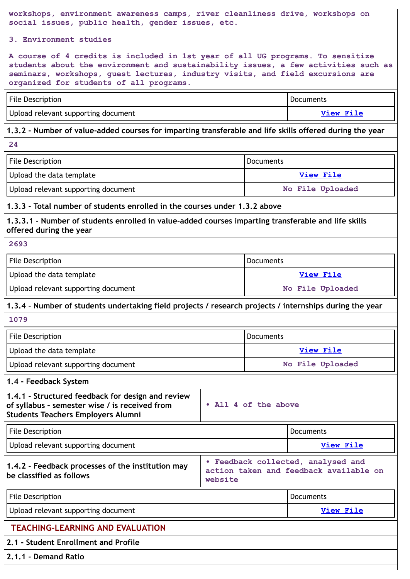**workshops, environment awareness camps, river cleanliness drive, workshops on social issues, public health, gender issues, etc.**

**3. Environment studies**

**A course of 4 credits is included in 1st year of all UG programs. To sensitize students about the environment and sustainability issues, a few activities such as seminars, workshops, guest lectures, industry visits, and field excursions are organized for students of all programs.**

| File Description                    | <b>Documents</b> |
|-------------------------------------|------------------|
| Upload relevant supporting document | View File        |

### **1.3.2 - Number of value-added courses for imparting transferable and life skills offered during the year**

**24**

| File Description                    | <b>Documents</b> |
|-------------------------------------|------------------|
| Upload the data template            | View File        |
| Upload relevant supporting document | No File Uploaded |

### **1.3.3 - Total number of students enrolled in the courses under 1.3.2 above**

**1.3.3.1 - Number of students enrolled in value-added courses imparting transferable and life skills offered during the year**

#### **2693**

| File Description                    | l Documents      |
|-------------------------------------|------------------|
| Upload the data template            | View File        |
| Upload relevant supporting document | No File Uploaded |

### **1.3.4 - Number of students undertaking field projects / research projects / internships during the year**

**1079**

| File Description                    | <b>Documents</b> |
|-------------------------------------|------------------|
| Upload the data template            | View File        |
| Upload relevant supporting document | No File Uploaded |

### **1.4 - Feedback System**

| 1.4.1 - Structured feedback for design and review<br>of syllabus - semester wise / is received from<br><b>Students Teachers Employers Alumni</b> | • All 4 of the above |
|--------------------------------------------------------------------------------------------------------------------------------------------------|----------------------|
|--------------------------------------------------------------------------------------------------------------------------------------------------|----------------------|

| File Description                    | Documents |
|-------------------------------------|-----------|
| Upload relevant supporting document | View File |

### **1.4.2 - Feedback processes of the institution may be classified as follows**

| action taken and feedback available on |  |
|----------------------------------------|--|
|                                        |  |
| website                                |  |

| File Description                    | <b>Documents</b> |
|-------------------------------------|------------------|
| Upload relevant supporting document | View File        |
|                                     |                  |

### **TEACHING-LEARNING AND EVALUATION**

### **2.1 - Student Enrollment and Profile**

**2.1.1 - Demand Ratio**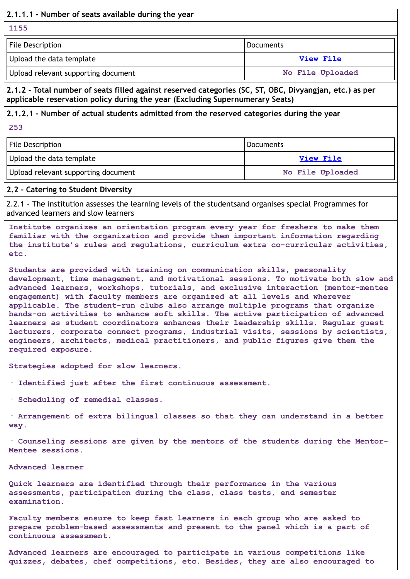### **2.1.1.1 - Number of seats available during the year**

**1155**

| File Description                    | l Documents      |
|-------------------------------------|------------------|
| Upload the data template            | View File        |
| Upload relevant supporting document | No File Uploaded |

### **2.1.2 - Total number of seats filled against reserved categories (SC, ST, OBC, Divyangjan, etc.) as per applicable reservation policy during the year (Excluding Supernumerary Seats)**

### **2.1.2.1 - Number of actual students admitted from the reserved categories during the year**

**253**

| File Description                    | Documents        |
|-------------------------------------|------------------|
| Upload the data template            | View File        |
| Upload relevant supporting document | No File Uploaded |

#### **2.2 - Catering to Student Diversity**

2.2.1 - The institution assesses the learning levels of the studentsand organises special Programmes for advanced learners and slow learners

**Institute organizes an orientation program every year for freshers to make them familiar with the organization and provide them important information regarding the institute's rules and regulations, curriculum extra co-curricular activities, etc.**

**Students are provided with training on communication skills, personality development, time management, and motivational sessions. To motivate both slow and advanced learners, workshops, tutorials, and exclusive interaction (mentor-mentee engagement) with faculty members are organized at all levels and wherever applicable. The student-run clubs also arrange multiple programs that organize hands-on activities to enhance soft skills. The active participation of advanced learners as student coordinators enhances their leadership skills. Regular guest lecturers, corporate connect programs, industrial visits, sessions by scientists, engineers, architects, medical practitioners, and public figures give them the required exposure.**

**Strategies adopted for slow learners.**

**· Identified just after the first continuous assessment.**

**· Scheduling of remedial classes.**

**· Arrangement of extra bilingual classes so that they can understand in a better way.**

**· Counseling sessions are given by the mentors of the students during the Mentor-Mentee sessions.**

#### **Advanced learner**

**Quick learners are identified through their performance in the various assessments, participation during the class, class tests, end semester examination.**

**Faculty members ensure to keep fast learners in each group who are asked to prepare problem-based assessments and present to the panel which is a part of continuous assessment.**

**Advanced learners are encouraged to participate in various competitions like quizzes, debates, chef competitions, etc. Besides, they are also encouraged to**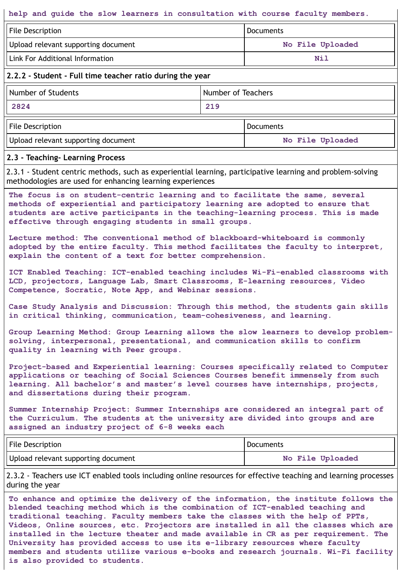#### **help and guide the slow learners in consultation with course faculty members.**

| File Description                    | Documents        |
|-------------------------------------|------------------|
| Upload relevant supporting document | No File Uploaded |
| Link For Additional Information     | Nil              |

### **2.2.2 - Student - Full time teacher ratio during the year**

| Number of Teachers<br>Number of Students |     |           |
|------------------------------------------|-----|-----------|
| 2824                                     | 219 |           |
| File Description                         |     | Documents |

Upload relevant supporting document **No File Uploaded**

#### **2.3 - Teaching- Learning Process**

2.3.1 - Student centric methods, such as experiential learning, participative learning and problem-solving methodologies are used for enhancing learning experiences

**The focus is on student-centric learning and to facilitate the same, several methods of experiential and participatory learning are adopted to ensure that students are active participants in the teaching-learning process. This is made effective through engaging students in small groups.**

**Lecture method: The conventional method of blackboard-whiteboard is commonly adopted by the entire faculty. This method facilitates the faculty to interpret, explain the content of a text for better comprehension.**

**ICT Enabled Teaching: ICT-enabled teaching includes Wi-Fi-enabled classrooms with LCD, projectors, Language Lab, Smart Classrooms, E-learning resources, Video Competence, Socratic, Note App, and Webinar sessions.**

**Case Study Analysis and Discussion: Through this method, the students gain skills in critical thinking, communication, team-cohesiveness, and learning.**

**Group Learning Method: Group Learning allows the slow learners to develop problemsolving, interpersonal, presentational, and communication skills to confirm quality in learning with Peer groups.**

**Project-based and Experiential learning: Courses specifically related to Computer applications or teaching of Social Sciences Courses benefit immensely from such learning. All bachelor's and master's level courses have internships, projects, and dissertations during their program.**

**Summer Internship Project: Summer Internships are considered an integral part of the Curriculum. The students at the university are divided into groups and are assigned an industry project of 6-8 weeks each**

| File Description                    | Documents        |
|-------------------------------------|------------------|
| Upload relevant supporting document | No File Uploaded |

2.3.2 - Teachers use ICT enabled tools including online resources for effective teaching and learning processes during the year

**To enhance and optimize the delivery of the information, the institute follows the blended teaching method which is the combination of ICT-enabled teaching and traditional teaching. Faculty members take the classes with the help of PPTs, Videos, Online sources, etc. Projectors are installed in all the classes which are installed in the lecture theater and made available in CR as per requirement. The University has provided access to use its e-library resources where faculty members and students utilize various e-books and research journals. Wi-Fi facility is also provided to students.**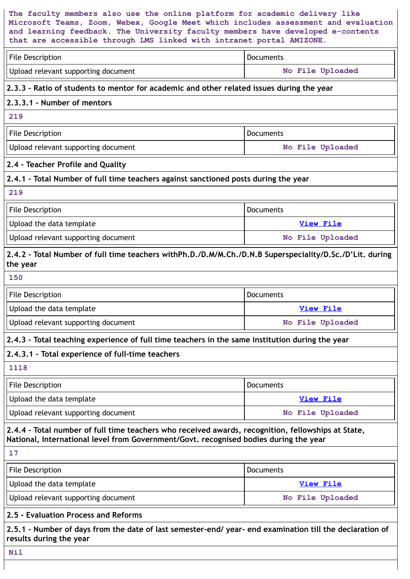| The faculty members also use the online platform for academic delivery like<br>Microsoft Teams, Zoom, Webex, Google Meet which includes assessment and evaluation<br>and learning feedback. The University faculty members have developed e-contents<br>that are accessible through LMS linked with intranet portal AMIZONE. |                  |  |
|------------------------------------------------------------------------------------------------------------------------------------------------------------------------------------------------------------------------------------------------------------------------------------------------------------------------------|------------------|--|
| <b>File Description</b>                                                                                                                                                                                                                                                                                                      | <b>Documents</b> |  |
| Upload relevant supporting document                                                                                                                                                                                                                                                                                          | No File Uploaded |  |
| 2.3.3 - Ratio of students to mentor for academic and other related issues during the year                                                                                                                                                                                                                                    |                  |  |
| 2.3.3.1 - Number of mentors                                                                                                                                                                                                                                                                                                  |                  |  |
| 219                                                                                                                                                                                                                                                                                                                          |                  |  |
| <b>File Description</b>                                                                                                                                                                                                                                                                                                      | <b>Documents</b> |  |
| Upload relevant supporting document                                                                                                                                                                                                                                                                                          | No File Uploaded |  |
| 2.4 - Teacher Profile and Quality                                                                                                                                                                                                                                                                                            |                  |  |
| 2.4.1 - Total Number of full time teachers against sanctioned posts during the year                                                                                                                                                                                                                                          |                  |  |
| 219                                                                                                                                                                                                                                                                                                                          |                  |  |
| <b>File Description</b>                                                                                                                                                                                                                                                                                                      | Documents        |  |
| Upload the data template                                                                                                                                                                                                                                                                                                     | <b>View File</b> |  |
| Upload relevant supporting document                                                                                                                                                                                                                                                                                          | No File Uploaded |  |
| 2.4.2 - Total Number of full time teachers withPh.D./D.M/M.Ch./D.N.B Superspeciality/D.Sc./D'Lit. during<br>the year                                                                                                                                                                                                         |                  |  |
| 150                                                                                                                                                                                                                                                                                                                          |                  |  |
| <b>File Description</b>                                                                                                                                                                                                                                                                                                      | <b>Documents</b> |  |
| Upload the data template                                                                                                                                                                                                                                                                                                     | <b>View File</b> |  |
| Upload relevant supporting document                                                                                                                                                                                                                                                                                          | No File Uploaded |  |
| 2.4.3 - Total teaching experience of full time teachers in the same institution during the year                                                                                                                                                                                                                              |                  |  |
| 2.4.3.1 - Total experience of full-time teachers                                                                                                                                                                                                                                                                             |                  |  |
| 1118                                                                                                                                                                                                                                                                                                                         |                  |  |
| <b>File Description</b>                                                                                                                                                                                                                                                                                                      | Documents        |  |
| Upload the data template                                                                                                                                                                                                                                                                                                     | <b>View File</b> |  |
| Upload relevant supporting document                                                                                                                                                                                                                                                                                          | No File Uploaded |  |
| 2.4.4 - Total number of full time teachers who received awards, recognition, fellowships at State,<br>National, International level from Government/Govt. recognised bodies during the year                                                                                                                                  |                  |  |
| 17                                                                                                                                                                                                                                                                                                                           |                  |  |
| <b>File Description</b>                                                                                                                                                                                                                                                                                                      | Documents        |  |
| Upload the data template                                                                                                                                                                                                                                                                                                     | <b>View File</b> |  |
| Upload relevant supporting document                                                                                                                                                                                                                                                                                          | No File Uploaded |  |
| 2.5 - Evaluation Process and Reforms                                                                                                                                                                                                                                                                                         |                  |  |
| 2.5.1 - Number of days from the date of last semester-end/ year- end examination till the declaration of<br>results during the year                                                                                                                                                                                          |                  |  |
| Nil                                                                                                                                                                                                                                                                                                                          |                  |  |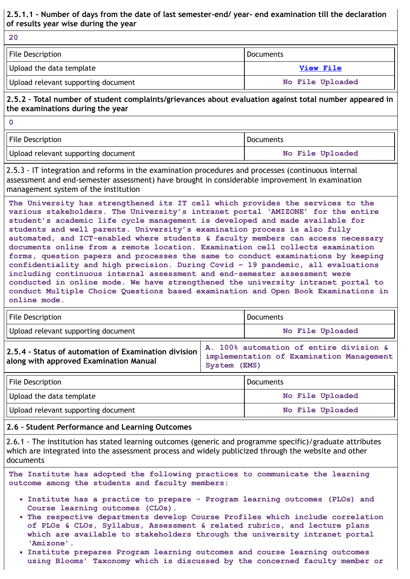### **2.5.1.1 - Number of days from the date of last semester-end/ year- end examination till the declaration of results year wise during the year**

**20**

| File Description                    | Documents        |
|-------------------------------------|------------------|
| Upload the data template            | View File        |
| Upload relevant supporting document | No File Uploaded |

### **2.5.2 - Total number of student complaints/grievances about evaluation against total number appeared in the examinations during the year**

**0**

| File Description                    | <b>Documents</b> |
|-------------------------------------|------------------|
| Upload relevant supporting document | No File Uploaded |

2.5.3 - IT integration and reforms in the examination procedures and processes (continuous internal assessment and end-semester assessment) have brought in considerable improvement in examination management system of the institution

**The University has strengthened its IT cell which provides the services to the various stakeholders. The University's intranet portal 'AMIZONE' for the entire student's academic life cycle management is developed and made available for students and well parents. University's examination process is also fully automated, and ICT-enabled where students & faculty members can access necessary documents online from a remote location. Examination cell collects examination forms, question papers and processes the same to conduct examinations by keeping confidentiality and high precision. During Covid – 19 pandemic, all evaluations including continuous internal assessment and end-semester assessment were conducted in online mode. We have strengthened the university intranet portal to conduct Multiple Choice Questions based examination and Open Book Examinations in online mode.**

| File Description                                                                               |                                                                                                     | <b>Documents</b> |  |
|------------------------------------------------------------------------------------------------|-----------------------------------------------------------------------------------------------------|------------------|--|
| Upload relevant supporting document                                                            |                                                                                                     | No File Uploaded |  |
| 2.5.4 - Status of automation of Examination division<br>along with approved Examination Manual | A. 100% automation of entire division &<br>implementation of Examination Management<br>System (EMS) |                  |  |
| File Description                                                                               |                                                                                                     | Documents        |  |
| Upload the data template                                                                       |                                                                                                     | No File Uploaded |  |
| Upload relevant supporting document                                                            |                                                                                                     | No File Uploaded |  |

### **2.6 - Student Performance and Learning Outcomes**

2.6.1 - The institution has stated learning outcomes (generic and programme specific)/graduate attributes which are integrated into the assessment process and widely publicized through the website and other documents

**The Institute has adopted the following practices to communicate the learning outcome among the students and faculty members:**

- **Institute has a practice to prepare - Program learning outcomes (PLOs) and Course learning outcomes (CLOs).**
- **The respective departments develop Course Profiles which include correlation of PLOs & CLOs, Syllabus, Assessment & related rubrics, and lecture plans which are available to stakeholders through the university intranet portal 'Amizone'.**
- **Institute prepares Program learning outcomes and course learning outcomes using Blooms' Taxonomy which is discussed by the concerned faculty member or**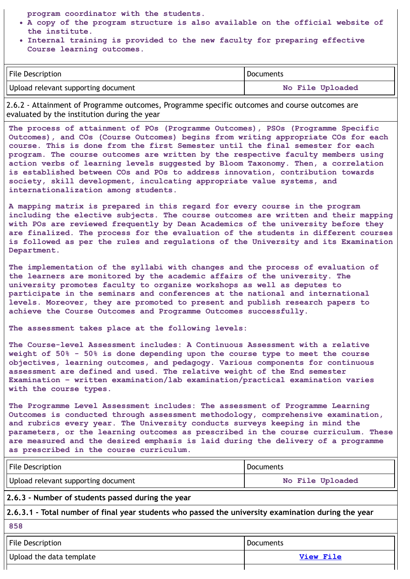**program coordinator with the students.**

- **A copy of the program structure is also available on the official website of the institute.**
- **Internal training is provided to the new faculty for preparing effective Course learning outcomes.**

| File Description                    | Documents        |
|-------------------------------------|------------------|
| Upload relevant supporting document | No File Uploaded |

2.6.2 - Attainment of Programme outcomes, Programme specific outcomes and course outcomes are evaluated by the institution during the year

**The process of attainment of POs (Programme Outcomes), PSOs (Programme Specific Outcomes), and COs (Course Outcomes) begins from writing appropriate COs for each course. This is done from the first Semester until the final semester for each program. The course outcomes are written by the respective faculty members using action verbs of learning levels suggested by Bloom Taxonomy. Then, a correlation is established between COs and POs to address innovation, contribution towards society, skill development, inculcating appropriate value systems, and internationalization among students.**

**A mapping matrix is prepared in this regard for every course in the program including the elective subjects. The course outcomes are written and their mapping with POs are reviewed frequently by Dean Academics of the university before they are finalized. The process for the evaluation of the students in different courses is followed as per the rules and regulations of the University and its Examination Department.**

**The implementation of the syllabi with changes and the process of evaluation of the learners are monitored by the academic affairs of the university. The university promotes faculty to organize workshops as well as deputes to participate in the seminars and conferences at the national and international levels. Moreover, they are promoted to present and publish research papers to achieve the Course Outcomes and Programme Outcomes successfully.**

**The assessment takes place at the following levels:**

**The Course-level Assessment includes: A Continuous Assessment with a relative weight of 50% - 50% is done depending upon the course type to meet the course objectives, learning outcomes, and pedagogy. Various components for continuous assessment are defined and used. The relative weight of the End semester Examination – written examination/lab examination/practical examination varies with the course types.**

**The Programme Level Assessment includes: The assessment of Programme Learning Outcomes is conducted through assessment methodology, comprehensive examination, and rubrics every year. The University conducts surveys keeping in mind the parameters, or the learning outcomes as prescribed in the course curriculum. These are measured and the desired emphasis is laid during the delivery of a programme as prescribed in the course curriculum.**

| File Description                    | Documents        |
|-------------------------------------|------------------|
| Upload relevant supporting document | No File Uploaded |

### **2.6.3 - Number of students passed during the year**

**2.6.3.1 - Total number of final year students who passed the university examination during the year**

**858**

| File Description         | <b>Documents</b> |
|--------------------------|------------------|
| Upload the data template | <b>View File</b> |
|                          |                  |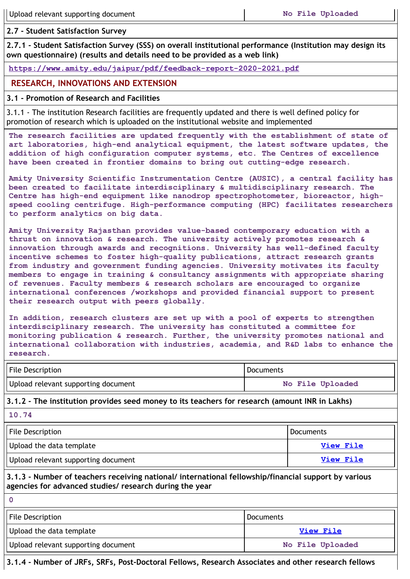**2.7 - Student Satisfaction Survey**

**2.7.1 - Student Satisfaction Survey (SSS) on overall institutional performance (Institution may design its own questionnaire) (results and details need to be provided as a web link)**

**<https://www.amity.edu/jaipur/pdf/feedback-report-2020-2021.pdf>**

## **RESEARCH, INNOVATIONS AND EXTENSION**

### **3.1 - Promotion of Research and Facilities**

3.1.1 - The institution Research facilities are frequently updated and there is well defined policy for promotion of research which is uploaded on the institutional website and implemented

**The research facilities are updated frequently with the establishment of state of art laboratories, high-end analytical equipment, the latest software updates, the addition of high configuration computer systems, etc. The Centres of excellence have been created in frontier domains to bring out cutting-edge research.**

**Amity University Scientific Instrumentation Centre (AUSIC), a central facility has been created to facilitate interdisciplinary & multidisciplinary research. The Centre has high-end equipment like nanodrop spectrophotometer, bioreactor, highspeed cooling centrifuge. High-performance computing (HPC) facilitates researchers to perform analytics on big data.**

**Amity University Rajasthan provides value-based contemporary education with a thrust on innovation & research. The university actively promotes research & innovation through awards and recognitions. University has well-defined faculty incentive schemes to foster high-quality publications, attract research grants from industry and government funding agencies. University motivates its faculty members to engage in training & consultancy assignments with appropriate sharing of revenues. Faculty members & research scholars are encouraged to organize international conferences /workshops and provided financial support to present their research output with peers globally.**

**In addition, research clusters are set up with a pool of experts to strengthen interdisciplinary research. The university has constituted a committee for monitoring publication & research. Further, the university promotes national and international collaboration with industries, academia, and R&D labs to enhance the research.**

| <b>File Description</b>             | <b>Documents</b> |
|-------------------------------------|------------------|
| Upload relevant supporting document | No File Uploaded |

**3.1.2 - The institution provides seed money to its teachers for research (amount INR in Lakhs)**

**10.74**

| File Description                    | l Documents |
|-------------------------------------|-------------|
| Upload the data template            | View File   |
| Upload relevant supporting document | View File   |

**3.1.3 - Number of teachers receiving national/ international fellowship/financial support by various agencies for advanced studies/ research during the year**

**0**

| File Description                    | Documents        |
|-------------------------------------|------------------|
| Upload the data template            | <b>View File</b> |
| Upload relevant supporting document | No File Uploaded |

**3.1.4 - Number of JRFs, SRFs, Post-Doctoral Fellows, Research Associates and other research fellows**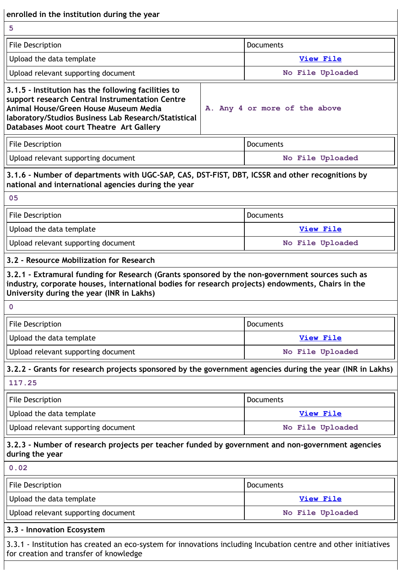| enrolled in the institution during the year<br>5                                                                                                                                                                                                                 |                               |
|------------------------------------------------------------------------------------------------------------------------------------------------------------------------------------------------------------------------------------------------------------------|-------------------------------|
|                                                                                                                                                                                                                                                                  |                               |
| File Description                                                                                                                                                                                                                                                 | <b>Documents</b>              |
| Upload the data template                                                                                                                                                                                                                                         | <b>View File</b>              |
| Upload relevant supporting document                                                                                                                                                                                                                              | No File Uploaded              |
| 3.1.5 - Institution has the following facilities to<br>support research Central Instrumentation Centre<br>Animal House/Green House Museum Media<br>laboratory/Studios Business Lab Research/Statistical<br>Databases Moot court Theatre Art Gallery              | A. Any 4 or more of the above |
| File Description                                                                                                                                                                                                                                                 | Documents                     |
| Upload relevant supporting document                                                                                                                                                                                                                              | No File Uploaded              |
| 3.1.6 - Number of departments with UGC-SAP, CAS, DST-FIST, DBT, ICSSR and other recognitions by<br>national and international agencies during the year                                                                                                           |                               |
| 05                                                                                                                                                                                                                                                               |                               |
| File Description                                                                                                                                                                                                                                                 | Documents                     |
| Upload the data template                                                                                                                                                                                                                                         | View File                     |
| Upload relevant supporting document<br>3.2 - Resource Mobilization for Research                                                                                                                                                                                  | No File Uploaded              |
| 3.2.1 - Extramural funding for Research (Grants sponsored by the non-government sources such as<br>industry, corporate houses, international bodies for research projects) endowments, Chairs in the<br>University during the year (INR in Lakhs)<br>$\mathbf 0$ |                               |
| File Description                                                                                                                                                                                                                                                 | Documents                     |
| Upload the data template                                                                                                                                                                                                                                         | <b>View File</b>              |
| Upload relevant supporting document                                                                                                                                                                                                                              | No File Uploaded              |
| 3.2.2 - Grants for research projects sponsored by the government agencies during the year (INR in Lakhs)                                                                                                                                                         |                               |
| 117.25                                                                                                                                                                                                                                                           |                               |
| <b>File Description</b>                                                                                                                                                                                                                                          | Documents                     |
| Upload the data template                                                                                                                                                                                                                                         | <b>View File</b>              |
| Upload relevant supporting document                                                                                                                                                                                                                              | No File Uploaded              |
| 3.2.3 - Number of research projects per teacher funded by government and non-government agencies<br>during the year                                                                                                                                              |                               |
| 0.02                                                                                                                                                                                                                                                             |                               |
| File Description                                                                                                                                                                                                                                                 | Documents                     |
| Upload the data template                                                                                                                                                                                                                                         | <b>View File</b>              |
| Upload relevant supporting document                                                                                                                                                                                                                              | No File Uploaded              |
| 3.3 - Innovation Ecosystem                                                                                                                                                                                                                                       |                               |
| 3.3.1 - Institution has created an eco-system for innovations including Incubation centre and other initiatives<br>for creation and transfer of knowledge                                                                                                        |                               |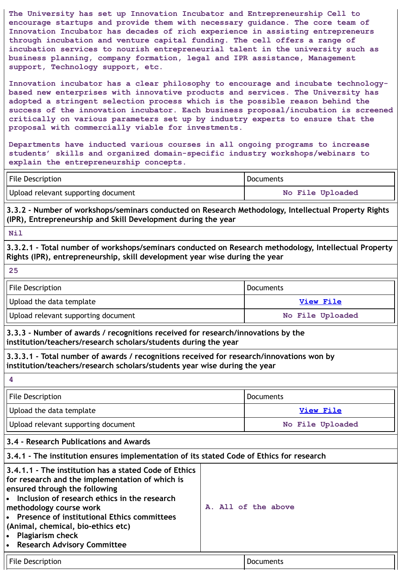**The University has set up Innovation Incubator and Entrepreneurship Cell to encourage startups and provide them with necessary guidance. The core team of Innovation Incubator has decades of rich experience in assisting entrepreneurs through incubation and venture capital funding. The cell offers a range of incubation services to nourish entrepreneurial talent in the university such as business planning, company formation, legal and IPR assistance, Management support, Technology support, etc.**

**Innovation incubator has a clear philosophy to encourage and incubate technologybased new enterprises with innovative products and services. The University has adopted a stringent selection process which is the possible reason behind the success of the innovation incubator. Each business proposal/incubation is screened critically on various parameters set up by industry experts to ensure that the proposal with commercially viable for investments.**

**Departments have inducted various courses in all ongoing programs to increase students' skills and organized domain-specific industry workshops/webinars to explain the entrepreneurship concepts.**

| File Description                    | Documents        |
|-------------------------------------|------------------|
| Upload relevant supporting document | No File Uploaded |

**3.3.2 - Number of workshops/seminars conducted on Research Methodology, Intellectual Property Rights (IPR), Entrepreneurship and Skill Development during the year**

### **Nil**

**3.3.2.1 - Total number of workshops/seminars conducted on Research methodology, Intellectual Property Rights (IPR), entrepreneurship, skill development year wise during the year**

| -25                                 |                  |
|-------------------------------------|------------------|
| File Description                    | <b>Documents</b> |
| Upload the data template            | View File        |
| Upload relevant supporting document | No File Uploaded |

**3.3.3 - Number of awards / recognitions received for research/innovations by the institution/teachers/research scholars/students during the year**

**3.3.3.1 - Total number of awards / recognitions received for research/innovations won by institution/teachers/research scholars/students year wise during the year**

| File Description                                                                                                       | Documents        |  |  |  |
|------------------------------------------------------------------------------------------------------------------------|------------------|--|--|--|
| Upload the data template                                                                                               | View File        |  |  |  |
| Upload relevant supporting document                                                                                    | No File Uploaded |  |  |  |
| 3.4 - Research Publications and Awards                                                                                 |                  |  |  |  |
| 3.4.1 - The institution ensures implementation of its stated Code of Ethics for research                               |                  |  |  |  |
| 3.4.1.1 - The institution has a stated Code of Ethics<br>$\frac{1}{2}$ for research and the implementation of which is |                  |  |  |  |

| A. All of the above |
|---------------------|
|                     |
|                     |
|                     |
|                     |
|                     |

|  | <b>File Description</b> |  |  |
|--|-------------------------|--|--|
|  |                         |  |  |

**Documents**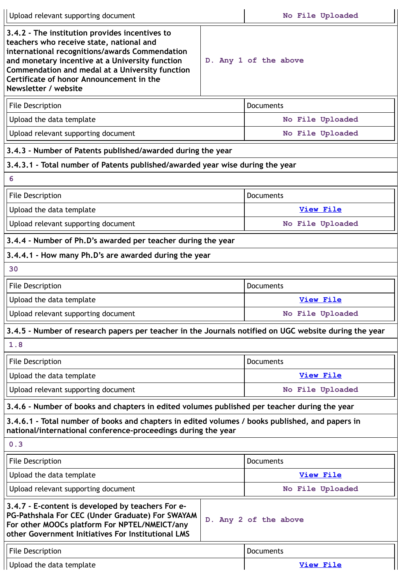| Upload relevant supporting document                                                                                                                                                                                                                                                                                    |                                                                                              |                       |  |  |
|------------------------------------------------------------------------------------------------------------------------------------------------------------------------------------------------------------------------------------------------------------------------------------------------------------------------|----------------------------------------------------------------------------------------------|-----------------------|--|--|
| 3.4.2 - The institution provides incentives to<br>teachers who receive state, national and<br>international recognitions/awards Commendation<br>and monetary incentive at a University function<br>Commendation and medal at a University function<br>Certificate of honor Announcement in the<br>Newsletter / website |                                                                                              | D. Any 1 of the above |  |  |
| <b>File Description</b>                                                                                                                                                                                                                                                                                                |                                                                                              | <b>Documents</b>      |  |  |
| Upload the data template                                                                                                                                                                                                                                                                                               |                                                                                              | No File Uploaded      |  |  |
| Upload relevant supporting document                                                                                                                                                                                                                                                                                    |                                                                                              | No File Uploaded      |  |  |
| 3.4.3 - Number of Patents published/awarded during the year                                                                                                                                                                                                                                                            |                                                                                              |                       |  |  |
| 3.4.3.1 - Total number of Patents published/awarded year wise during the year                                                                                                                                                                                                                                          |                                                                                              |                       |  |  |
| 6                                                                                                                                                                                                                                                                                                                      |                                                                                              |                       |  |  |
| File Description                                                                                                                                                                                                                                                                                                       |                                                                                              | <b>Documents</b>      |  |  |
| Upload the data template                                                                                                                                                                                                                                                                                               |                                                                                              | <b>View File</b>      |  |  |
| Upload relevant supporting document                                                                                                                                                                                                                                                                                    |                                                                                              | No File Uploaded      |  |  |
| 3.4.4 - Number of Ph.D's awarded per teacher during the year                                                                                                                                                                                                                                                           |                                                                                              |                       |  |  |
| 3.4.4.1 - How many Ph.D's are awarded during the year                                                                                                                                                                                                                                                                  |                                                                                              |                       |  |  |
| 30                                                                                                                                                                                                                                                                                                                     |                                                                                              |                       |  |  |
| <b>File Description</b><br>Documents                                                                                                                                                                                                                                                                                   |                                                                                              |                       |  |  |
| Upload the data template                                                                                                                                                                                                                                                                                               |                                                                                              | View File             |  |  |
| Upload relevant supporting document                                                                                                                                                                                                                                                                                    |                                                                                              | No File Uploaded      |  |  |
| 3.4.5 - Number of research papers per teacher in the Journals notified on UGC website during the year                                                                                                                                                                                                                  |                                                                                              |                       |  |  |
| 1.8                                                                                                                                                                                                                                                                                                                    |                                                                                              |                       |  |  |
| <b>File Description</b>                                                                                                                                                                                                                                                                                                |                                                                                              | <b>Documents</b>      |  |  |
| Upload the data template                                                                                                                                                                                                                                                                                               |                                                                                              | <b>View File</b>      |  |  |
| Upload relevant supporting document                                                                                                                                                                                                                                                                                    |                                                                                              | No File Uploaded      |  |  |
|                                                                                                                                                                                                                                                                                                                        | 3.4.6 - Number of books and chapters in edited volumes published per teacher during the year |                       |  |  |
| 3.4.6.1 - Total number of books and chapters in edited volumes / books published, and papers in<br>national/international conference-proceedings during the year                                                                                                                                                       |                                                                                              |                       |  |  |
| 0.3                                                                                                                                                                                                                                                                                                                    |                                                                                              |                       |  |  |
| <b>File Description</b>                                                                                                                                                                                                                                                                                                |                                                                                              |                       |  |  |
| Upload the data template                                                                                                                                                                                                                                                                                               |                                                                                              |                       |  |  |
| Upload relevant supporting document                                                                                                                                                                                                                                                                                    |                                                                                              |                       |  |  |
| 3.4.7 - E-content is developed by teachers For e-<br>PG-Pathshala For CEC (Under Graduate) For SWAYAM<br>For other MOOCs platform For NPTEL/NMEICT/any<br>other Government Initiatives For Institutional LMS                                                                                                           |                                                                                              | D. Any 2 of the above |  |  |
| <b>File Description</b>                                                                                                                                                                                                                                                                                                |                                                                                              | <b>Documents</b>      |  |  |
| Upload the data template                                                                                                                                                                                                                                                                                               |                                                                                              | <b>View File</b>      |  |  |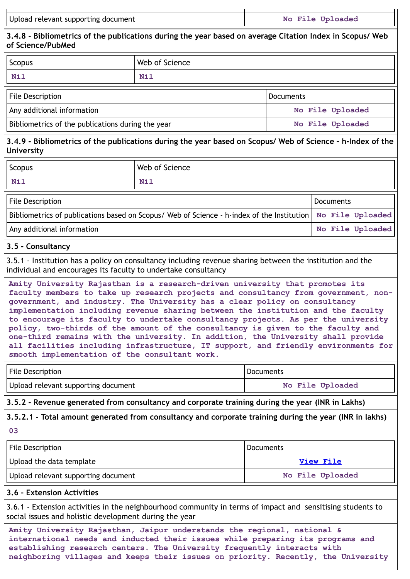| Upload relevant supporting document | No File Uploaded |
|-------------------------------------|------------------|
|-------------------------------------|------------------|

**3.4.8 - Bibliometrics of the publications during the year based on average Citation Index in Scopus/ Web of Science/PubMed**

| <b>Scopus</b>                                     | Web of Science |                  |  |
|---------------------------------------------------|----------------|------------------|--|
| Nil                                               | Nil            |                  |  |
| File Description                                  |                | <b>Documents</b> |  |
| Any additional information                        |                | No File Uploaded |  |
| Bibliometrics of the publications during the year |                | No File Uploaded |  |

# 3.4.9 - Bibliometrics of the publications during the year based on Scopus/ Web of Science - h-Index of the **University**

| Scopus | <b>Web of Science</b> |
|--------|-----------------------|
| Nil    | Nil                   |
|        |                       |

| File Description                                                                                              | Documents |                  |
|---------------------------------------------------------------------------------------------------------------|-----------|------------------|
| Bibliometrics of publications based on Scopus/ Web of Science - h-index of the Institution   No File Uploaded |           |                  |
| Any additional information                                                                                    |           | No File Uploaded |

### **3.5 - Consultancy**

3.5.1 - Institution has a policy on consultancy including revenue sharing between the institution and the individual and encourages its faculty to undertake consultancy

**Amity University Rajasthan is a research-driven university that promotes its faculty members to take up research projects and consultancy from government, nongovernment, and industry. The University has a clear policy on consultancy implementation including revenue sharing between the institution and the faculty to encourage its faculty to undertake consultancy projects. As per the university policy, two-thirds of the amount of the consultancy is given to the faculty and one-third remains with the university. In addition, the University shall provide all facilities including infrastructure, IT support, and friendly environments for smooth implementation of the consultant work.**

| File Description                    | <b>Documents</b> |
|-------------------------------------|------------------|
| Upload relevant supporting document | No File Uploaded |

**3.5.2 - Revenue generated from consultancy and corporate training during the year (INR in Lakhs)**

**3.5.2.1 - Total amount generated from consultancy and corporate training during the year (INR in lakhs)**

**03**

| File Description                    | Documents        |
|-------------------------------------|------------------|
| Upload the data template            | View File        |
| Upload relevant supporting document | No File Uploaded |

### **3.6 - Extension Activities**

3.6.1 - Extension activities in the neighbourhood community in terms of impact and sensitising students to social issues and holistic development during the year

**Amity University Rajasthan, Jaipur understands the regional, national & international needs and inducted their issues while preparing its programs and establishing research centers. The University frequently interacts with neighboring villages and keeps their issues on priority. Recently, the University**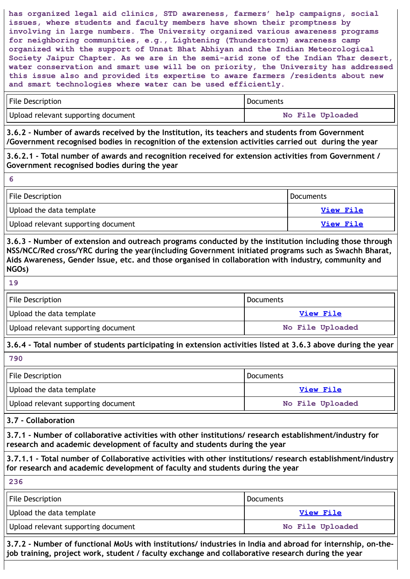**has organized legal aid clinics, STD awareness, farmers' help campaigns, social issues, where students and faculty members have shown their promptness by involving in large numbers. The University organized various awareness programs for neighboring communities, e.g., Lightening (Thunderstorm) awareness camp organized with the support of Unnat Bhat Abhiyan and the Indian Meteorological Society Jaipur Chapter. As we are in the semi-arid zone of the Indian Thar desert, water conservation and smart use will be on priority, the University has addressed this issue also and provided its expertise to aware farmers /residents about new and smart technologies where water can be used efficiently.**

| File Description                    | <b>Documents</b> |  |
|-------------------------------------|------------------|--|
| Upload relevant supporting document | No File Uploaded |  |

**3.6.2 - Number of awards received by the Institution, its teachers and students from Government /Government recognised bodies in recognition of the extension activities carried out during the year**

### **3.6.2.1 - Total number of awards and recognition received for extension activities from Government / Government recognised bodies during the year**

| File Description                    | Documents |
|-------------------------------------|-----------|
| Upload the data template            | View File |
| Upload relevant supporting document | View File |

**3.6.3 - Number of extension and outreach programs conducted by the institution including those through NSS/NCC/Red cross/YRC during the year(including Government initiated programs such as Swachh Bharat, Aids Awareness, Gender Issue, etc. and those organised in collaboration with industry, community and NGOs)**

**6**

| File Description                    | Documents        |
|-------------------------------------|------------------|
| Upload the data template            | View File        |
| Upload relevant supporting document | No File Uploaded |

# **3.6.4 - Total number of students participating in extension activities listed at 3.6.3 above during the year**

**790**

| File Description                    | <b>Documents</b> |
|-------------------------------------|------------------|
| Upload the data template            | View File        |
| Upload relevant supporting document | No File Uploaded |

### **3.7 - Collaboration**

**3.7.1 - Number of collaborative activities with other institutions/ research establishment/industry for research and academic development of faculty and students during the year**

**3.7.1.1 - Total number of Collaborative activities with other institutions/ research establishment/industry for research and academic development of faculty and students during the year**

**236**

| File Description                    | <b>Documents</b> |
|-------------------------------------|------------------|
| Upload the data template            | View File        |
| Upload relevant supporting document | No File Uploaded |

**3.7.2 - Number of functional MoUs with institutions/ industries in India and abroad for internship, on-thejob training, project work, student / faculty exchange and collaborative research during the year**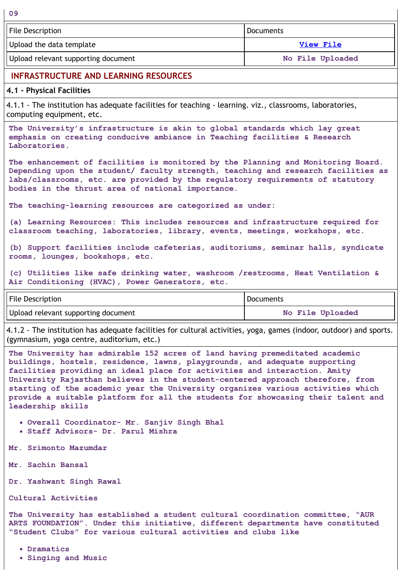| File Description                    | l Documents      |
|-------------------------------------|------------------|
| Upload the data template            | View File        |
| Upload relevant supporting document | No File Uploaded |

### **INFRASTRUCTURE AND LEARNING RESOURCES**

#### **4.1 - Physical Facilities**

**09**

4.1.1 - The institution has adequate facilities for teaching - learning. viz., classrooms, laboratories, computing equipment, etc.

**The University's infrastructure is akin to global standards which lay great emphasis on creating conducive ambiance in Teaching facilities & Research Laboratories.**

**The enhancement of facilities is monitored by the Planning and Monitoring Board. Depending upon the student/ faculty strength, teaching and research facilities as labs/classrooms, etc. are provided by the regulatory requirements of statutory bodies in the thrust area of national importance.**

**The teaching-learning resources are categorized as under:**

**(a) Learning Resources: This includes resources and infrastructure required for classroom teaching, laboratories, library, events, meetings, workshops, etc.**

**(b) Support facilities include cafeterias, auditoriums, seminar halls, syndicate rooms, lounges, bookshops, etc.**

**(c) Utilities like safe drinking water, washroom /restrooms, Heat Ventilation & Air Conditioning (HVAC), Power Generators, etc.**

| <b>File Description</b>             | <b>Documents</b> |  |
|-------------------------------------|------------------|--|
| Upload relevant supporting document | No File Uploaded |  |

4.1.2 - The institution has adequate facilities for cultural activities, yoga, games (indoor, outdoor) and sports. (gymnasium, yoga centre, auditorium, etc.)

**The University has admirable 152 acres of land having premeditated academic buildings, hostels, residence, lawns, playgrounds, and adequate supporting facilities providing an ideal place for activities and interaction. Amity University Rajasthan believes in the student-centered approach therefore, from starting of the academic year the University organizes various activities which provide a suitable platform for all the students for showcasing their talent and leadership skills**

**Overall Coordinator- Mr. Sanjiv Singh Bhal**

**Staff Advisors- Dr. Parul Mishra**

**Mr. Srimonto Mazumdar**

- **Mr. Sachin Bansal**
- **Dr. Yashwant Singh Rawal**

**Cultural Activities**

**The University has established a student cultural coordination committee, "AUR ARTS FOUNDATION". Under this initiative, different departments have constituted "Student Clubs" for various cultural activities and clubs like**

**Dramatics**

**Singing and Music**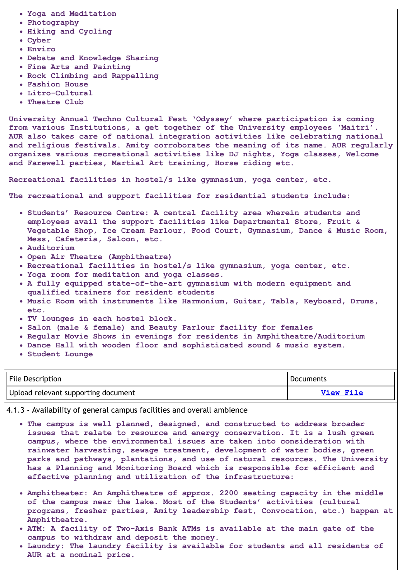- **Yoga and Meditation**
- **Photography**
- **Hiking and Cycling**
- **Cyber**
- **Enviro**
- **Debate and Knowledge Sharing**
- **Fine Arts and Painting**
- **Rock Climbing and Rappelling**
- **Fashion House**
- **Litro-Cultural**
- **Theatre Club**

**University Annual Techno Cultural Fest 'Odyssey' where participation is coming from various Institutions, a get together of the University employees 'Maitri'. AUR also takes care of national integration activities like celebrating national and religious festivals. Amity corroborates the meaning of its name. AUR regularly organizes various recreational activities like DJ nights, Yoga classes, Welcome and Farewell parties, Martial Art training, Horse riding etc.**

**Recreational facilities in hostel/s like gymnasium, yoga center, etc.**

**The recreational and support facilities for residential students include:**

- **Students' Resource Centre: A central facility area wherein students and employees avail the support facilities like Departmental Store, Fruit & Vegetable Shop, Ice Cream Parlour, Food Court, Gymnasium, Dance & Music Room, Mess, Cafeteria, Saloon, etc.**
- **Auditorium**
- **Open Air Theatre (Amphitheatre)**
- **Recreational facilities in hostel/s like gymnasium, yoga center, etc.**
- **Yoga room for meditation and yoga classes.**
- **A fully equipped state-of-the-art gymnasium with modern equipment and qualified trainers for resident students**
- **Music Room with instruments like Harmonium, Guitar, Tabla, Keyboard, Drums, etc.**
- **TV lounges in each hostel block.**
- **Salon (male & female) and Beauty Parlour facility for females**
- **Regular Movie Shows in evenings for residents in Amphitheatre/Auditorium**
- **Dance Hall with wooden floor and sophisticated sound & music system.**
- **Student Lounge**

| File Description                    | Documents        |
|-------------------------------------|------------------|
| Upload relevant supporting document | <b>View File</b> |

4.1.3 - Availability of general campus facilities and overall ambience

- **The campus is well planned, designed, and constructed to address broader issues that relate to resource and energy conservation. It is a lush green campus, where the environmental issues are taken into consideration with rainwater harvesting, sewage treatment, development of water bodies, green parks and pathways, plantations, and use of natural resources. The University has a Planning and Monitoring Board which is responsible for efficient and effective planning and utilization of the infrastructure:**
- **Amphitheater: An Amphitheatre of approx. 2200 seating capacity in the middle of the campus near the lake. Most of the Students' activities (cultural programs, fresher parties, Amity leadership fest, Convocation, etc.) happen at Amphitheatre.**
- **ATM: A facility of Two-Axis Bank ATMs is available at the main gate of the campus to withdraw and deposit the money.**
- **Laundry: The laundry facility is available for students and all residents of AUR at a nominal price.**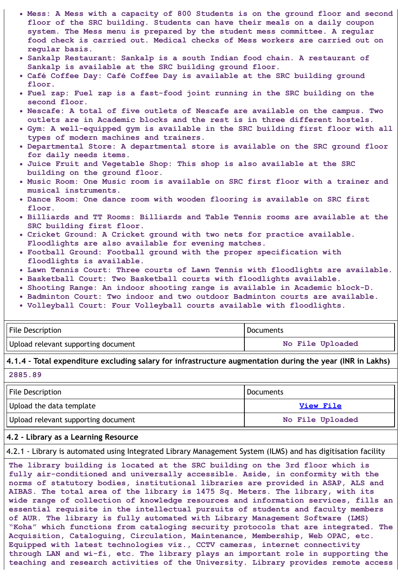- **Mess: A Mess with a capacity of 800 Students is on the ground floor and second floor of the SRC building. Students can have their meals on a daily coupon system. The Mess menu is prepared by the student mess committee. A regular food check is carried out. Medical checks of Mess workers are carried out on regular basis.**
- **Sankalp Restaurant: Sankalp is a south Indian food chain. A restaurant of Sankalp is available at the SRC building ground floor.**
- **Café Coffee Day: Café Coffee Day is available at the SRC building ground floor.**
- **Fuel zap: Fuel zap is a fast-food joint running in the SRC building on the second floor.**
- **Nescafe: A total of five outlets of Nescafe are available on the campus. Two outlets are in Academic blocks and the rest is in three different hostels.**
- **Gym: A well-equipped gym is available in the SRC building first floor with all types of modern machines and trainers.**
- **Departmental Store: A departmental store is available on the SRC ground floor for daily needs items.**
- **Juice Fruit and Vegetable Shop: This shop is also available at the SRC building on the ground floor.**
- **Music Room: One Music room is available on SRC first floor with a trainer and musical instruments.**
- **Dance Room: One dance room with wooden flooring is available on SRC first floor.**
- **Billiards and TT Rooms: Billiards and Table Tennis rooms are available at the SRC building first floor.**
- **Cricket Ground: A Cricket ground with two nets for practice available. Floodlights are also available for evening matches.**
- **Football Ground: Football ground with the proper specification with floodlights is available.**
- **Lawn Tennis Court: Three courts of Lawn Tennis with floodlights are available.**
- **Basketball Court: Two Basketball courts with floodlights available.**
- **Shooting Range: An indoor shooting range is available in Academic block-D.**
- **Badminton Court: Two indoor and two outdoor Badminton courts are available.**
- **Volleyball Court: Four Volleyball courts available with floodlights.**

| File Description                    | Documents        |  |
|-------------------------------------|------------------|--|
| Upload relevant supporting document | No File Uploaded |  |

# **4.1.4 - Total expenditure excluding salary for infrastructure augmentation during the year (INR in Lakhs)**

**2885.89**

| File Description                    | <b>Documents</b> |  |
|-------------------------------------|------------------|--|
| Upload the data template            | View File        |  |
| Upload relevant supporting document | No File Uploaded |  |

#### **4.2 - Library as a Learning Resource**

4.2.1 - Library is automated using Integrated Library Management System (ILMS) and has digitisation facility

**The library building is located at the SRC building on the 3rd floor which is fully air-conditioned and universally accessible. Aside, in conformity with the norms of statutory bodies, institutional libraries are provided in ASAP, ALS and AIBAS. The total area of the library is 1475 Sq. Meters. The library, with its wide range of collection of knowledge resources and information services, fills an essential requisite in the intellectual pursuits of students and faculty members of AUR. The library is fully automated with Library Management Software (LMS) "Koha" which functions from cataloging security protocols that are integrated. The Acquisition, Cataloguing, Circulation, Maintenance, Membership, Web OPAC, etc. Equipped with latest technologies viz., CCTV cameras, internet connectivity through LAN and wi-fi, etc. The library plays an important role in supporting the teaching and research activities of the University. Library provides remote access**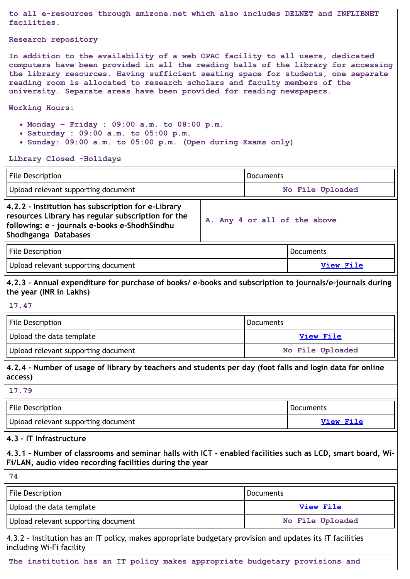**to all e-resources through amizone.net which also includes DELNET and INFLIBNET facilities.**

#### **Research repository**

**In addition to the availability of a web OPAC facility to all users, dedicated computers have been provided in all the reading halls of the library for accessing the library resources. Having sufficient seating space for students, one separate reading room is allocated to research scholars and faculty members of the university. Separate areas have been provided for reading newspapers.**

**Working Hours:**

- **Monday – Friday : 09:00 a.m. to 08:00 p.m.**
- **Saturday : 09:00 a.m. to 05:00 p.m.**
- **Sunday: 09:00 a.m. to 05:00 p.m. (Open during Exams only)**

#### **Library Closed -Holidays**

| <b>File Description</b>                                                                                                                                                           |                              | <b>Documents</b> |                  |  |
|-----------------------------------------------------------------------------------------------------------------------------------------------------------------------------------|------------------------------|------------------|------------------|--|
| Upload relevant supporting document                                                                                                                                               |                              | No File Uploaded |                  |  |
| 4.2.2 - Institution has subscription for e-Library<br>resources Library has regular subscription for the<br>following: e - journals e-books e-ShodhSindhu<br>Shodhganga Databases | A. Any 4 or all of the above |                  |                  |  |
| <b>File Description</b>                                                                                                                                                           | Documents                    |                  |                  |  |
| Upload relevant supporting document                                                                                                                                               | <b>View File</b>             |                  |                  |  |
| 4.2.3 - Annual expenditure for purchase of books/ e-books and subscription to journals/e-journals during<br>the year (INR in Lakhs)                                               |                              |                  |                  |  |
| 17.47                                                                                                                                                                             |                              |                  |                  |  |
| <b>File Description</b>                                                                                                                                                           | <b>Documents</b>             |                  |                  |  |
| Upload the data template                                                                                                                                                          |                              |                  | View File        |  |
| Upload relevant supporting document                                                                                                                                               |                              |                  | No File Uploaded |  |
| 4.2.4 - Number of usage of library by teachers and students per day (foot falls and login data for online<br>access)                                                              |                              |                  |                  |  |
| 17.79                                                                                                                                                                             |                              |                  |                  |  |
| File Description<br>Documents                                                                                                                                                     |                              |                  |                  |  |
| Upload relevant supporting document                                                                                                                                               |                              | View File        |                  |  |
| 4.3 - IT Infrastructure                                                                                                                                                           |                              |                  |                  |  |
| 4.3.1 - Number of classrooms and seminar halls with ICT - enabled facilities such as LCD, smart board, Wi-<br>Fi/LAN, audio video recording facilities during the year            |                              |                  |                  |  |
| 74                                                                                                                                                                                |                              |                  |                  |  |
| File Description                                                                                                                                                                  |                              | <b>Documents</b> |                  |  |
| Upload the data template                                                                                                                                                          | <b>View File</b>             |                  |                  |  |
| Upload relevant supporting document                                                                                                                                               | No File Uploaded             |                  |                  |  |
| 4.3.2 - Institution has an IT policy, makes appropriate budgetary provision and updates its IT facilities<br>including Wi-Fi facility                                             |                              |                  |                  |  |

**The institution has an IT policy makes appropriate budgetary provisions and**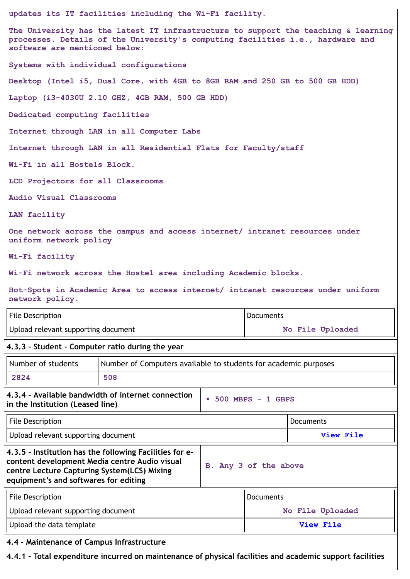**updates its IT facilities including the Wi-Fi facility.**

**The University has the latest IT infrastructure to support the teaching & learning processes. Details of the University's computing facilities i.e., hardware and software are mentioned below:**

**Systems with individual configurations**

**Desktop (Intel i5, Dual Core, with 4GB to 8GB RAM and 250 GB to 500 GB HDD)**

**Laptop (i3-4030U 2.10 GHZ, 4GB RAM, 500 GB HDD)**

**Dedicated computing facilities**

**Internet through LAN in all Computer Labs**

**Internet through LAN in all Residential Flats for Faculty/staff**

**Wi-Fi in all Hostels Block.**

**LCD Projectors for all Classrooms**

**Audio Visual Classrooms**

**LAN facility**

**One network across the campus and access internet/ intranet resources under uniform network policy**

**Wi-Fi facility**

**Wi-Fi network across the Hostel area including Academic blocks.**

**Hot-Spots in Academic Area to access internet/ intranet resources under uniform network policy.**

| File Description                    | ' Documents      |
|-------------------------------------|------------------|
| Upload relevant supporting document | No File Uploaded |

### **4.3.3 - Student - Computer ratio during the year**

| Number of students               | Number of Computers available to students for academic purposes |                       |  |
|----------------------------------|-----------------------------------------------------------------|-----------------------|--|
| 2824                             | 508                                                             |                       |  |
| the the loottrition (Looped Boo) | 4.3.4 - Available bandwidth of internet connection              | $-500$ MBPS $-1$ GBPS |  |

### **in the Institution (Leased line)**

| File Description                                                                                                                                                                                        |                       | Documents |
|---------------------------------------------------------------------------------------------------------------------------------------------------------------------------------------------------------|-----------------------|-----------|
| Upload relevant supporting document                                                                                                                                                                     |                       | View File |
| 4.3.5 - Institution has the following Facilities for e-<br>content development Media centre Audio visual<br><b>centre Lecture Capturing System(LCS) Mixing</b><br>equipment's and softwares for editing | B. Any 3 of the above |           |

| File Description                    | l Documents      |
|-------------------------------------|------------------|
| Upload relevant supporting document | No File Uploaded |
| Upload the data template            | View File        |

**4.4 - Maintenance of Campus Infrastructure**

**4.4.1 - Total expenditure incurred on maintenance of physical facilities and academic support facilities**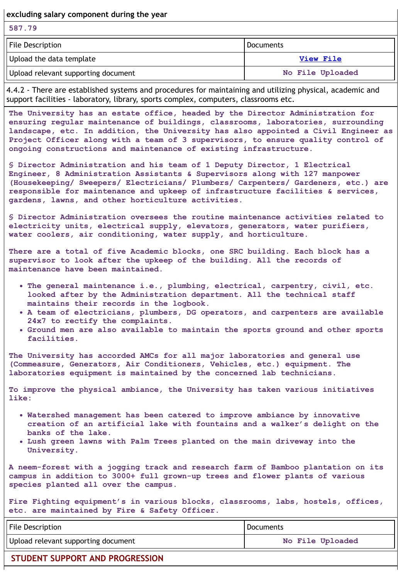**excluding salary component during the year**

| 587.79                              |                  |
|-------------------------------------|------------------|
| File Description                    | Documents        |
| Upload the data template            | View File        |
| Upload relevant supporting document | No File Uploaded |

4.4.2 - There are established systems and procedures for maintaining and utilizing physical, academic and support facilities - laboratory, library, sports complex, computers, classrooms etc.

**The University has an estate office, headed by the Director Administration for ensuring regular maintenance of buildings, classrooms, laboratories, surrounding landscape, etc. In addition, the University has also appointed a Civil Engineer as Project Officer along with a team of 3 supervisors, to ensure quality control of ongoing constructions and maintenance of existing infrastructure.**

**§ Director Administration and his team of 1 Deputy Director, 1 Electrical Engineer, 8 Administration Assistants & Supervisors along with 127 manpower (Housekeeping/ Sweepers/ Electricians/ Plumbers/ Carpenters/ Gardeners, etc.) are responsible for maintenance and upkeep of infrastructure facilities & services, gardens, lawns, and other horticulture activities.**

**§ Director Administration oversees the routine maintenance activities related to electricity units, electrical supply, elevators, generators, water purifiers, water coolers, air conditioning, water supply, and horticulture.**

**There are a total of five Academic blocks, one SRC building. Each block has a supervisor to look after the upkeep of the building. All the records of maintenance have been maintained.**

- **The general maintenance i.e., plumbing, electrical, carpentry, civil, etc. looked after by the Administration department. All the technical staff maintains their records in the logbook.**
- **A team of electricians, plumbers, DG operators, and carpenters are available 24x7 to rectify the complaints.**
- **Ground men are also available to maintain the sports ground and other sports facilities.**

**The University has accorded AMCs for all major laboratories and general use (Commeasure, Generators, Air Conditioners, Vehicles, etc.) equipment. The laboratories equipment is maintained by the concerned lab technicians.**

**To improve the physical ambiance, the University has taken various initiatives like:**

- **Watershed management has been catered to improve ambiance by innovative creation of an artificial lake with fountains and a walker's delight on the banks of the lake.**
- **Lush green lawns with Palm Trees planted on the main driveway into the University.**

**A neem-forest with a jogging track and research farm of Bamboo plantation on its campus in addition to 3000+ full grown-up trees and flower plants of various species planted all over the campus.**

**Fire Fighting equipment's in various blocks, classrooms, labs, hostels, offices, etc. are maintained by Fire & Safety Officer.**

| File Description                    | I Documents      |
|-------------------------------------|------------------|
| Upload relevant supporting document | No File Uploaded |

### **STUDENT SUPPORT AND PROGRESSION**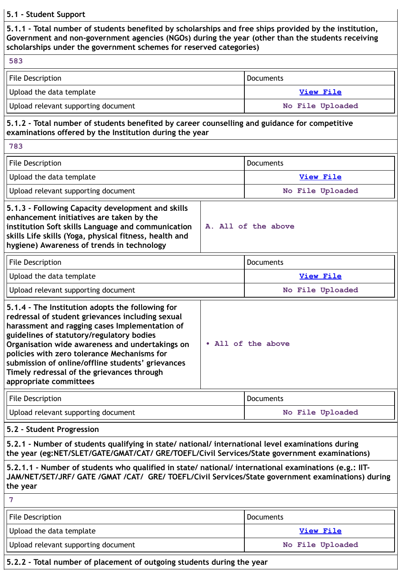### **5.1 - Student Support**

**5.1.1 - Total number of students benefited by scholarships and free ships provided by the institution, Government and non-government agencies (NGOs) during the year (other than the students receiving scholarships under the government schemes for reserved categories)**

| וכווטומו אוווטג עוועכו נווכ צטיכו ווווכוונ אנווכוווכא וטו דכאכו יכט נמנכצטו וכאן                                                                                                                                                                            |                     |                  |  |
|-------------------------------------------------------------------------------------------------------------------------------------------------------------------------------------------------------------------------------------------------------------|---------------------|------------------|--|
| 583                                                                                                                                                                                                                                                         |                     |                  |  |
| File Description                                                                                                                                                                                                                                            |                     | Documents        |  |
| Upload the data template                                                                                                                                                                                                                                    |                     | View File        |  |
| Upload relevant supporting document                                                                                                                                                                                                                         |                     | No File Uploaded |  |
| 5.1.2 - Total number of students benefited by career counselling and guidance for competitive<br>examinations offered by the Institution during the year                                                                                                    |                     |                  |  |
| 783                                                                                                                                                                                                                                                         |                     |                  |  |
| File Description                                                                                                                                                                                                                                            |                     | <b>Documents</b> |  |
| Upload the data template                                                                                                                                                                                                                                    |                     | <b>View File</b> |  |
| Upload relevant supporting document                                                                                                                                                                                                                         |                     | No File Uploaded |  |
| 5.1.3 - Following Capacity development and skills<br>enhancement initiatives are taken by the<br>institution Soft skills Language and communication<br>skills Life skills (Yoga, physical fitness, health and<br>hygiene) Awareness of trends in technology | A. All of the above |                  |  |
| File Description                                                                                                                                                                                                                                            |                     | <b>Documents</b> |  |
| Upload the data template                                                                                                                                                                                                                                    |                     | <b>View File</b> |  |
| Upload relevant supporting document                                                                                                                                                                                                                         |                     | No File Uploaded |  |
|                                                                                                                                                                                                                                                             |                     |                  |  |

| Organisation wide awareness and undertakings on<br>• All of the above<br>policies with zero tolerance Mechanisms for<br>submission of online/offline students' grievances<br>Timely redressal of the grievances through<br>appropriate committees |
|---------------------------------------------------------------------------------------------------------------------------------------------------------------------------------------------------------------------------------------------------|
|---------------------------------------------------------------------------------------------------------------------------------------------------------------------------------------------------------------------------------------------------|

| File Description                    | Documents        |
|-------------------------------------|------------------|
| Upload relevant supporting document | No File Uploaded |

### **5.2 - Student Progression**

**5.2.1 - Number of students qualifying in state/ national/ international level examinations during the year (eg:NET/SLET/GATE/GMAT/CAT/ GRE/TOEFL/Civil Services/State government examinations)**

**5.2.1.1 - Number of students who qualified in state/ national/ international examinations (e.g.: IIT-JAM/NET/SET/JRF/ GATE /GMAT /CAT/ GRE/ TOEFL/Civil Services/State government examinations) during the year**

| $\sim$ |  |  |
|--------|--|--|
|        |  |  |
|        |  |  |

| File Description                    | Documents        |
|-------------------------------------|------------------|
| Upload the data template            | View File        |
| Upload relevant supporting document | No File Uploaded |

### **5.2.2 - Total number of placement of outgoing students during the year**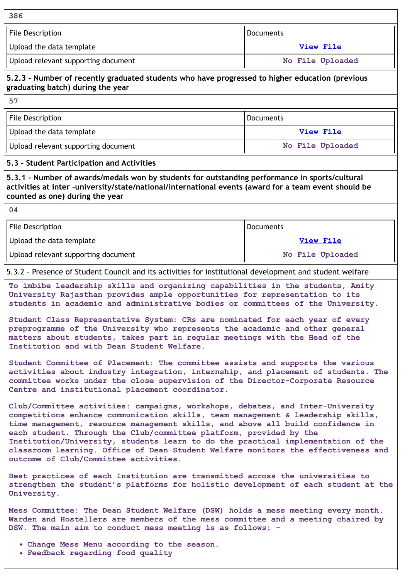| 386                                 |                  |
|-------------------------------------|------------------|
| File Description                    | Documents        |
| Upload the data template            | View File        |
| Upload relevant supporting document | No File Uploaded |

### **5.2.3 - Number of recently graduated students who have progressed to higher education (previous graduating batch) during the year**

**57**

| File Description                    | l Documents      |  |
|-------------------------------------|------------------|--|
| Upload the data template            | View File        |  |
| Upload relevant supporting document | No File Uploaded |  |

### **5.3 - Student Participation and Activities**

**5.3.1 - Number of awards/medals won by students for outstanding performance in sports/cultural activities at inter -university/state/national/international events (award for a team event should be counted as one) during the year**

**04**

| File Description                    | l Documents      |  |
|-------------------------------------|------------------|--|
| Upload the data template            | View File        |  |
| Upload relevant supporting document | No File Uploaded |  |

5.3.2 - Presence of Student Council and its activities for institutional development and student welfare

**To imbibe leadership skills and organizing capabilities in the students, Amity University Rajasthan provides ample opportunities for representation to its students in academic and administrative bodies or committees of the University.**

**Student Class Representative System: CRs are nominated for each year of every preprogramme of the University who represents the academic and other general matters about students, takes part in regular meetings with the Head of the Institution and with Dean Student Welfare.**

**Student Committee of Placement: The committee assists and supports the various activities about industry integration, internship, and placement of students. The committee works under the close supervision of the Director-Corporate Resource Centre and institutional placement coordinator.**

**Club/Committee activities: campaigns, workshops, debates, and Inter-University competitions enhance communication skills, team management & leadership skills, time management, resource management skills, and above all build confidence in each student. Through the Club/committee platform, provided by the Institution/University, students learn to do the practical implementation of the classroom learning. Office of Dean Student Welfare monitors the effectiveness and outcome of Club/Committee activities.**

**Best practices of each Institution are transmitted across the universities to strengthen the student's platforms for holistic development of each student at the University.**

**Mess Committee: The Dean Student Welfare (DSW) holds a mess meeting every month. Warden and Hostellers are members of the mess committee and a meeting chaired by DSW. The main aim to conduct mess meeting is as follows: -**

- **Change Mess Menu according to the season.**
- **Feedback regarding food quality**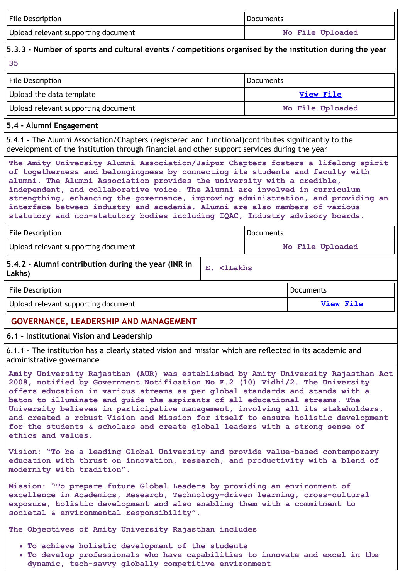| File Description                    | <b>Documents</b> |  |
|-------------------------------------|------------------|--|
| Upload relevant supporting document | No File Uploaded |  |

### **5.3.3 - Number of sports and cultural events / competitions organised by the institution during the year**

| 10<br><b>STATISTICS</b> | ۰.            |
|-------------------------|---------------|
| ۰.<br>×                 | ٠<br>×<br>. . |

| File Description<br>l Documents     |                  |
|-------------------------------------|------------------|
| Upload the data template            | View File        |
| Upload relevant supporting document | No File Uploaded |

### **5.4 - Alumni Engagement**

5.4.1 - The Alumni Association/Chapters (registered and functional)contributes significantly to the development of the institution through financial and other support services during the year

**The Amity University Alumni Association/Jaipur Chapters fosters a lifelong spirit of togetherness and belongingness by connecting its students and faculty with alumni. The Alumni Association provides the university with a credible, independent, and collaborative voice. The Alumni are involved in curriculum strengthing, enhancing the governance, improving administration, and providing an interface between industry and academia. Alumni are also members of various statutory and non-statutory bodies including IQAC, Industry advisory boards.**

| File Description                    | Documents        |  |
|-------------------------------------|------------------|--|
| Upload relevant supporting document | No File Uploaded |  |

| J.4.2 - Alumni contribution during the year (INR in $\,$ $\,$ $\rm E$ $\,$ $\,$ $\rm <$ $\rm 1$ $\rm Lakks$ |  |
|-------------------------------------------------------------------------------------------------------------|--|
| Lakhs)                                                                                                      |  |

File Description **Documents Documents Documents** 

Upload relevant supporting document **View [File](https://assessmentonline.naac.gov.in/storage/app/public/aqar/17529/17529_392_868.xlsx?1653970627) View File** 

# **GOVERNANCE, LEADERSHIP AND MANAGEMENT**

### **6.1 - Institutional Vision and Leadership**

6.1.1 - The institution has a clearly stated vision and mission which are reflected in its academic and administrative governance

**Amity University Rajasthan (AUR) was established by Amity University Rajasthan Act 2008, notified by Government Notification No F.2 (10) Vidhi/2. The University offers education in various streams as per global standards and stands with a baton to illuminate and guide the aspirants of all educational streams. The University believes in participative management, involving all its stakeholders, and created a robust Vision and Mission for itself to ensure holistic development for the students & scholars and create global leaders with a strong sense of ethics and values.**

**Vision: "To be a leading Global University and provide value-based contemporary education with thrust on innovation, research, and productivity with a blend of modernity with tradition".**

**Mission: "To prepare future Global Leaders by providing an environment of excellence in Academics, Research, Technology-driven learning, cross-cultural exposure, holistic development and also enabling them with a commitment to societal & environmental responsibility".**

**The Objectives of Amity University Rajasthan includes**

- **To achieve holistic development of the students**
- **To develop professionals who have capabilities to innovate and excel in the dynamic, tech-savvy globally competitive environment**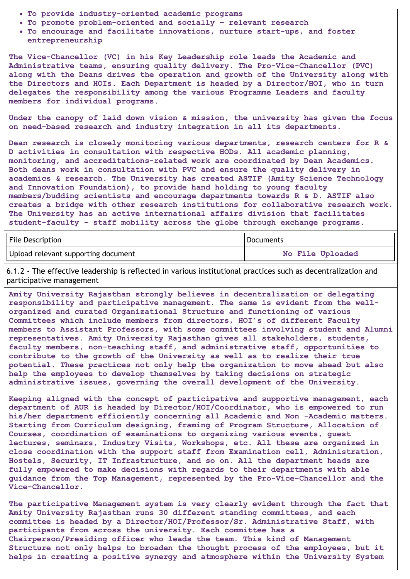- **To provide industry-oriented academic programs**
- **To promote problem-oriented and socially – relevant research**
- **To encourage and facilitate innovations, nurture start-ups, and foster entrepreneurship**

**The Vice-Chancellor (VC) in his Key Leadership role leads the Academic and Administrative teams, ensuring quality delivery. The Pro-Vice-Chancellor (PVC) along with the Deans drives the operation and growth of the University along with the Directors and HOIs. Each Department is headed by a Director/HOI, who in turn delegates the responsibility among the various Programme Leaders and faculty members for individual programs.**

**Under the canopy of laid down vision & mission, the university has given the focus on need-based research and industry integration in all its departments.**

**Dean research is closely monitoring various departments, research centers for R & D activities in consultation with respective HODs. All academic planning, monitoring, and accreditations-related work are coordinated by Dean Academics. Both deans work in consultation with PVC and ensure the quality delivery in academics & research. The University has created ASTIF (Amity Science Technology and Innovation Foundation), to provide hand holding to young faculty members/budding scientists and encourage departments towards R & D. ASTIF also creates a bridge with other research institutions for collaborative research work. The University has an active international affairs division that facilitates student-faculty - staff mobility across the globe through exchange programs.**

| File Description                    | <b>Documents</b> |  |
|-------------------------------------|------------------|--|
| Upload relevant supporting document | No File Uploaded |  |

6.1.2 - The effective leadership is reflected in various institutional practices such as decentralization and participative management

**Amity University Rajasthan strongly believes in decentralization or delegating responsibility and participative management. The same is evident from the wellorganized and curated Organizational Structure and functioning of various Committees which include members from directors, HOI's of different Faculty members to Assistant Professors, with some committees involving student and Alumni representatives. Amity University Rajasthan gives all stakeholders, students, faculty members, non-teaching staff, and administrative staff, opportunities to contribute to the growth of the University as well as to realize their true potential. These practices not only help the organization to move ahead but also help the employees to develop themselves by taking decisions on strategic administrative issues, governing the overall development of the University.**

**Keeping aligned with the concept of participative and supportive management, each department of AUR is headed by Director/HOI/Coordinator, who is empowered to run his/her department efficiently concerning all Academic and Non -Academic matters. Starting from Curriculum designing, framing of Program Structure, Allocation of Courses, coordination of examinations to organizing various events, guest lectures, seminars, Industry Visits, Workshops, etc. All these are organized in close coordination with the support staff from Examination cell, Administration, Hostels, Security, IT Infrastructure, and so on. All the department heads are fully empowered to make decisions with regards to their departments with able guidance from the Top Management, represented by the Pro-Vice-Chancellor and the Vice-Chancellor.**

**The participative Management system is very clearly evident through the fact that Amity University Rajasthan runs 30 different standing committees, and each committee is headed by a Director/HOI/Professor/Sr. Administrative Staff, with participants from across the university. Each committee has a Chairperson/Presiding officer who leads the team. This kind of Management Structure not only helps to broaden the thought process of the employees, but it helps in creating a positive synergy and atmosphere within the University System**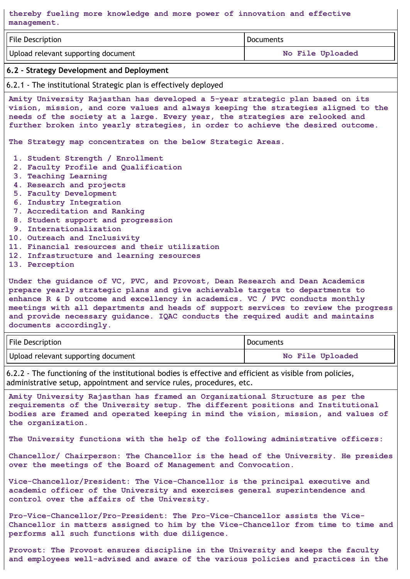**thereby fueling more knowledge and more power of innovation and effective management.**

| File Description                                                                                                                                                                                                                                                                                                                                                                                                                   | <b>Documents</b> |  |
|------------------------------------------------------------------------------------------------------------------------------------------------------------------------------------------------------------------------------------------------------------------------------------------------------------------------------------------------------------------------------------------------------------------------------------|------------------|--|
| Upload relevant supporting document<br>No File Uploaded                                                                                                                                                                                                                                                                                                                                                                            |                  |  |
| 6.2 - Strategy Development and Deployment                                                                                                                                                                                                                                                                                                                                                                                          |                  |  |
| 6.2.1 - The institutional Strategic plan is effectively deployed                                                                                                                                                                                                                                                                                                                                                                   |                  |  |
| Amity University Rajasthan has developed a 5-year strategic plan based on its<br>vision, mission, and core values and always keeping the strategies aligned to the<br>needs of the society at a large. Every year, the strategies are relooked and<br>further broken into yearly strategies, in order to achieve the desired outcome.                                                                                              |                  |  |
| The Strategy map concentrates on the below Strategic Areas.                                                                                                                                                                                                                                                                                                                                                                        |                  |  |
| 1. Student Strength / Enrollment<br>2. Faculty Profile and Qualification<br>3. Teaching Learning<br>4. Research and projects<br>5. Faculty Development<br>6. Industry Integration<br>7. Accreditation and Ranking<br>8. Student support and progression<br>9. Internationalization<br>10. Outreach and Inclusivity<br>11. Financial resources and their utilization<br>12. Infrastructure and learning resources<br>13. Perception |                  |  |

**Under the guidance of VC, PVC, and Provost, Dean Research and Dean Academics prepare yearly strategic plans and give achievable targets to departments to enhance R & D outcome and excellency in academics. VC / PVC conducts monthly meetings with all departments and heads of support services to review the progress and provide necessary guidance. IQAC conducts the required audit and maintains documents accordingly.**

| File Description                    | Documents        |  |
|-------------------------------------|------------------|--|
| Upload relevant supporting document | No File Uploaded |  |

6.2.2 - The functioning of the institutional bodies is effective and efficient as visible from policies, administrative setup, appointment and service rules, procedures, etc.

**Amity University Rajasthan has framed an Organizational Structure as per the requirements of the University setup. The different positions and Institutional bodies are framed and operated keeping in mind the vision, mission, and values of the organization.**

**The University functions with the help of the following administrative officers:**

**Chancellor/ Chairperson: The Chancellor is the head of the University. He presides over the meetings of the Board of Management and Convocation.**

**Vice-Chancellor/President: The Vice-Chancellor is the principal executive and academic officer of the University and exercises general superintendence and control over the affairs of the University.**

**Pro-Vice-Chancellor/Pro-President: The Pro-Vice-Chancellor assists the Vice-Chancellor in matters assigned to him by the Vice-Chancellor from time to time and performs all such functions with due diligence.**

**Provost: The Provost ensures discipline in the University and keeps the faculty and employees well-advised and aware of the various policies and practices in the**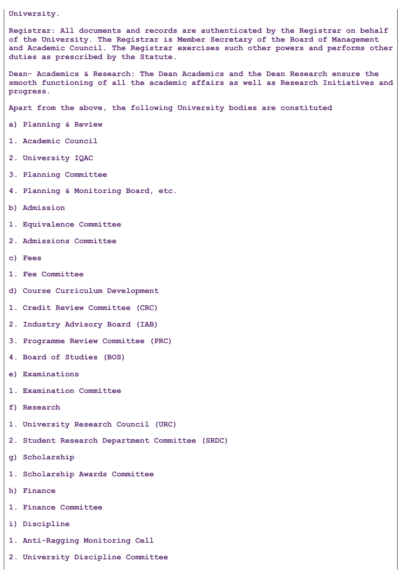**University.**

**Registrar: All documents and records are authenticated by the Registrar on behalf of the University. The Registrar is Member Secretary of the Board of Management and Academic Council. The Registrar exercises such other powers and performs other duties as prescribed by the Statute.**

**Dean- Academics & Research: The Dean Academics and the Dean Research ensure the smooth functioning of all the academic affairs as well as Research Initiatives and progress.**

**Apart from the above, the following University bodies are constituted**

- **a) Planning & Review**
- **1. Academic Council**
- **2. University IQAC**
- **3. Planning Committee**
- **4. Planning & Monitoring Board, etc.**
- **b) Admission**
- **1. Equivalence Committee**
- **2. Admissions Committee**
- **c) Fees**
- **1. Fee Committee**
- **d) Course Curriculum Development**
- **1. Credit Review Committee (CRC)**
- **2. Industry Advisory Board (IAB)**
- **3. Programme Review Committee (PRC)**
- **4. Board of Studies (BOS)**
- **e) Examinations**
- **1. Examination Committee**
- **f) Research**
- **1. University Research Council (URC)**
- **2. Student Research Department Committee (SRDC)**
- **g) Scholarship**
- **1. Scholarship Awards Committee**
- **h) Finance**
- **1. Finance Committee**
- **i) Discipline**
- **1. Anti-Ragging Monitoring Cell**
- **2. University Discipline Committee**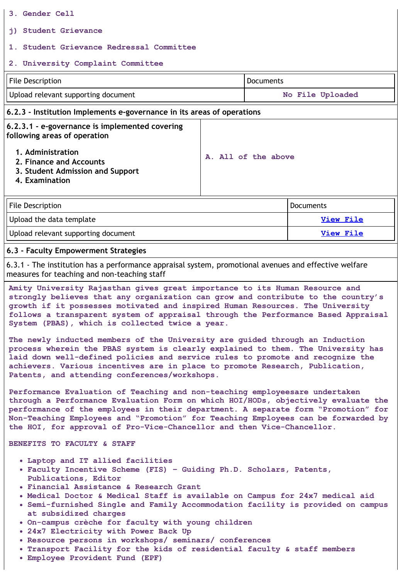- **3. Gender Cell**
- **j) Student Grievance**

### **1. Student Grievance Redressal Committee**

### **2. University Complaint Committee**

| File Description                    | ' Documents      |  |
|-------------------------------------|------------------|--|
| Upload relevant supporting document | No File Uploaded |  |

### **6.2.3 - Institution Implements e-governance in its areas of operations**

**6.2.3.1 - e-governance is implemented covering following areas of operation**

- **1. Administration**
- **2. Finance and Accounts**
- **3. Student Admission and Support**
- **4. Examination**

| File Description                    | l Documents |
|-------------------------------------|-------------|
| Upload the data template            | View File   |
| Upload relevant supporting document | View File   |

**A. All of the above**

### **6.3 - Faculty Empowerment Strategies**

6.3.1 - The institution has a performance appraisal system, promotional avenues and effective welfare measures for teaching and non-teaching staff

**Amity University Rajasthan gives great importance to its Human Resource and strongly believes that any organization can grow and contribute to the country's growth if it possesses motivated and inspired Human Resources. The University follows a transparent system of appraisal through the Performance Based Appraisal System (PBAS), which is collected twice a year.**

**The newly inducted members of the University are guided through an Induction process wherein the PBAS system is clearly explained to them. The University has laid down well-defined policies and service rules to promote and recognize the achievers. Various incentives are in place to promote Research, Publication, Patents, and attending conferences/workshops.**

**Performance Evaluation of Teaching and non-teaching employeesare undertaken through a Performance Evaluation Form on which HOI/HODs, objectively evaluate the performance of the employees in their department. A separate form "Promotion" for Non-Teaching Employees and "Promotion" for Teaching Employees can be forwarded by the HOI, for approval of Pro-Vice-Chancellor and then Vice-Chancellor.**

#### **BENEFITS TO FACULTY & STAFF**

- **Laptop and IT allied facilities**
- **Faculty Incentive Scheme (FIS) – Guiding Ph.D. Scholars, Patents, Publications, Editor**
- **Financial Assistance & Research Grant**
- **Medical Doctor & Medical Staff is available on Campus for 24x7 medical aid**
- **Semi-furnished Single and Family Accommodation facility is provided on campus at subsidized charges**
- **On-campus crèche for faculty with young children**
- **24x7 Electricity with Power Back Up**
- **Resource persons in workshops/ seminars/ conferences**
- **Transport Facility for the kids of residential faculty & staff members**
- **Employee Provident Fund (EPF)**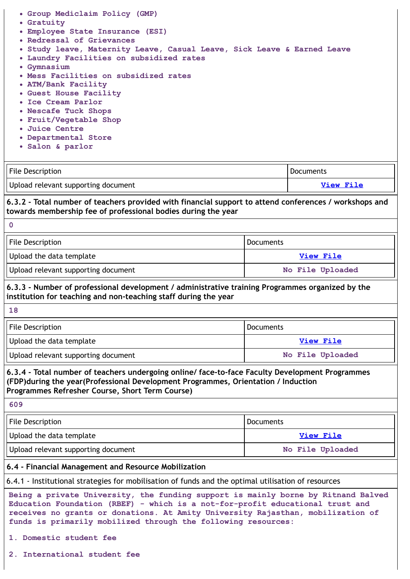|  |  | • Group Mediclaim Policy (GMP) |  |  |
|--|--|--------------------------------|--|--|
|  |  |                                |  |  |

- **Gratuity**
- **Employee State Insurance (ESI)**
- **Redressal of Grievances**
- **Study leave, Maternity Leave, Casual Leave, Sick Leave & Earned Leave**
- **Laundry Facilities on subsidized rates**
- **Gymnasium**
- **Mess Facilities on subsidized rates**
- **ATM/Bank Facility**
- **Guest House Facility**
- **Ice Cream Parlor**
- **Nescafe Tuck Shops**
- **Fruit/Vegetable Shop**
- **Juice Centre**
- **Departmental Store**
- **Salon & parlor**

| File Description                    | Documents |
|-------------------------------------|-----------|
| Upload relevant supporting document | View File |

### **6.3.2 - Total number of teachers provided with financial support to attend conferences / workshops and towards membership fee of professional bodies during the year**

| File Description                    | l Documents      |
|-------------------------------------|------------------|
| Upload the data template            | View File        |
| Upload relevant supporting document | No File Uploaded |

### **6.3.3 - Number of professional development / administrative training Programmes organized by the institution for teaching and non-teaching staff during the year**

**18**

**0**

| File Description                    | <b>Documents</b> |  |
|-------------------------------------|------------------|--|
| Upload the data template            | View File        |  |
| Upload relevant supporting document | No File Uploaded |  |

### **6.3.4 - Total number of teachers undergoing online/ face-to-face Faculty Development Programmes (FDP)during the year(Professional Development Programmes, Orientation / Induction Programmes Refresher Course, Short Term Course)**

**609**

| File Description                    | Documents        |  |
|-------------------------------------|------------------|--|
| Upload the data template            | View File        |  |
| Upload relevant supporting document | No File Uploaded |  |

### **6.4 - Financial Management and Resource Mobilization**

6.4.1 - Institutional strategies for mobilisation of funds and the optimal utilisation of resources

**Being a private University, the funding support is mainly borne by Ritnand Balved Education Foundation (RBEF) - which is a not-for-profit educational trust and receives no grants or donations. At Amity University Rajasthan, mobilization of funds is primarily mobilized through the following resources:**

- **1. Domestic student fee**
- **2. International student fee**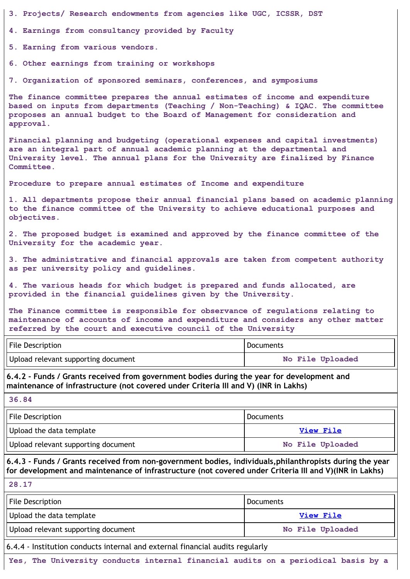**3. Projects/ Research endowments from agencies like UGC, ICSSR, DST**

**4. Earnings from consultancy provided by Faculty**

**5. Earning from various vendors.**

**6. Other earnings from training or workshops**

**7. Organization of sponsored seminars, conferences, and symposiums**

**The finance committee prepares the annual estimates of income and expenditure based on inputs from departments (Teaching / Non-Teaching) & IQAC. The committee proposes an annual budget to the Board of Management for consideration and approval.**

**Financial planning and budgeting (operational expenses and capital investments) are an integral part of annual academic planning at the departmental and University level. The annual plans for the University are finalized by Finance Committee.**

**Procedure to prepare annual estimates of Income and expenditure**

**1. All departments propose their annual financial plans based on academic planning to the finance committee of the University to achieve educational purposes and objectives.**

**2. The proposed budget is examined and approved by the finance committee of the University for the academic year.**

**3. The administrative and financial approvals are taken from competent authority as per university policy and guidelines.**

**4. The various heads for which budget is prepared and funds allocated, are provided in the financial guidelines given by the University.**

**The Finance committee is responsible for observance of regulations relating to maintenance of accounts of income and expenditure and considers any other matter referred by the court and executive council of the University**

| File Description                    | Documents        |  |
|-------------------------------------|------------------|--|
| Upload relevant supporting document | No File Uploaded |  |

**6.4.2 - Funds / Grants received from government bodies during the year for development and maintenance of infrastructure (not covered under Criteria III and V) (INR in Lakhs)**

| ۰, | ł | ۰. |  |
|----|---|----|--|
|    |   |    |  |

| File Description                    | l Documents      |  |
|-------------------------------------|------------------|--|
| Upload the data template            | View File        |  |
| Upload relevant supporting document | No File Uploaded |  |

**6.4.3 - Funds / Grants received from non-government bodies, individuals,philanthropists during the year for development and maintenance of infrastructure (not covered under Criteria III and V)(INR in Lakhs)**

**28.17**

| File Description                    | <b>Documents</b> |
|-------------------------------------|------------------|
| Upload the data template            | View File        |
| Upload relevant supporting document | No File Uploaded |

6.4.4 - Institution conducts internal and external financial audits regularly

**Yes, The University conducts internal financial audits on a periodical basis by a**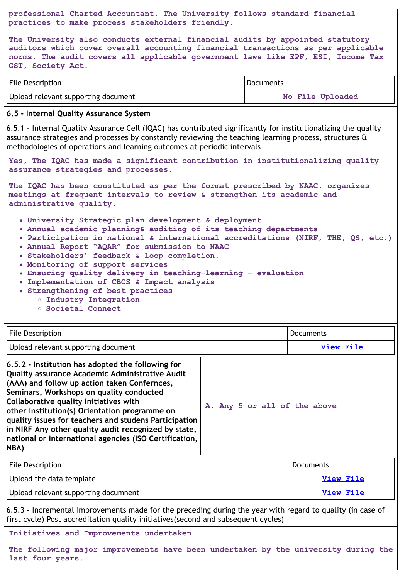**professional Charted Accountant. The University follows standard financial practices to make process stakeholders friendly.**

**The University also conducts external financial audits by appointed statutory auditors which cover overall accounting financial transactions as per applicable norms. The audit covers all applicable government laws like EPF, ESI, Income Tax GST, Society Act.**

| File Description                    | Documents        |  |
|-------------------------------------|------------------|--|
| Upload relevant supporting document | No File Uploaded |  |

### **6.5 - Internal Quality Assurance System**

6.5.1 - Internal Quality Assurance Cell (IQAC) has contributed significantly for institutionalizing the quality assurance strategies and processes by constantly reviewing the teaching learning process, structures  $\theta$ methodologies of operations and learning outcomes at periodic intervals

**Yes, The IQAC has made a significant contribution in institutionalizing quality assurance strategies and processes.**

**The IQAC has been constituted as per the format prescribed by NAAC, organizes meetings at frequent intervals to review & strengthen its academic and administrative quality.**

- **University Strategic plan development & deployment**
- **Annual academic planning& auditing of its teaching departments**
- **Participation in national & international accreditations (NIRF, THE, QS, etc.)**
- **Annual Report "AQAR" for submission to NAAC**
- **Stakeholders' feedback & loop completion.**
- **Monitoring of support services**
- **Ensuring quality delivery in teaching-learning – evaluation**
- **Implementation of CBCS & Impact analysis**
- **Strengthening of best practices**
	- **Industry Integration**
	- **Societal Connect**

| <b>File Description</b>                                                                                                                                                                                                                                                                                                                                                                                                                                                | Documents                    |  |
|------------------------------------------------------------------------------------------------------------------------------------------------------------------------------------------------------------------------------------------------------------------------------------------------------------------------------------------------------------------------------------------------------------------------------------------------------------------------|------------------------------|--|
| Upload relevant supporting document                                                                                                                                                                                                                                                                                                                                                                                                                                    | <b>View File</b>             |  |
| 6.5.2 - Institution has adopted the following for<br>Quality assurance Academic Administrative Audit<br>(AAA) and follow up action taken Confernces,<br>Seminars, Workshops on quality conducted<br>Collaborative quality initiatives with<br>other institution(s) Orientation programme on<br>quality issues for teachers and studens Participation<br>in NIRF Any other quality audit recognized by state,<br>national or international agencies (ISO Certification, | A. Any 5 or all of the above |  |

| ٦<br>ш |  |
|--------|--|
|--------|--|

| File Description                     | <b>Documents</b> |
|--------------------------------------|------------------|
| Upload the data template             | View File        |
| Upload relevant supporting documnent | View File        |

6.5.3 - Incremental improvements made for the preceding during the year with regard to quality (in case of first cycle) Post accreditation quality initiatives(second and subsequent cycles)

#### **Initiatives and Improvements undertaken**

**The following major improvements have been undertaken by the university during the last four years.**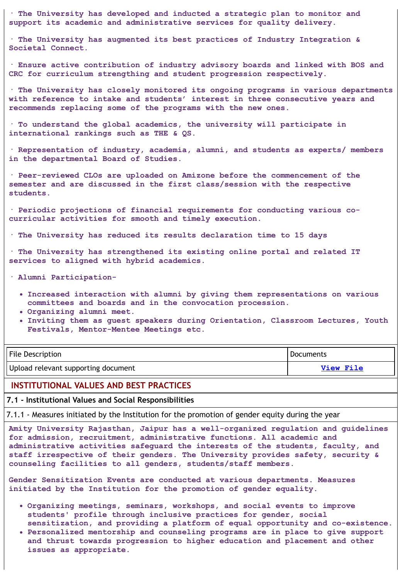**· The University has developed and inducted a strategic plan to monitor and support its academic and administrative services for quality delivery.**

**· The University has augmented its best practices of Industry Integration & Societal Connect.**

**· Ensure active contribution of industry advisory boards and linked with BOS and CRC for curriculum strengthing and student progression respectively.**

**· The University has closely monitored its ongoing programs in various departments with reference to intake and students' interest in three consecutive years and recommends replacing some of the programs with the new ones.**

**· To understand the global academics, the university will participate in international rankings such as THE & QS.**

**· Representation of industry, academia, alumni, and students as experts/ members in the departmental Board of Studies.**

**· Peer-reviewed CLOs are uploaded on Amizone before the commencement of the semester and are discussed in the first class/session with the respective students.**

**· Periodic projections of financial requirements for conducting various cocurricular activities for smooth and timely execution.**

**· The University has reduced its results declaration time to 15 days**

**· The University has strengthened its existing online portal and related IT services to aligned with hybrid academics.**

**· Alumni Participation-**

- **Increased interaction with alumni by giving them representations on various committees and boards and in the convocation procession.**
- **Organizing alumni meet.**
- **Inviting them as guest speakers during Orientation, Classroom Lectures, Youth Festivals, Mentor-Mentee Meetings etc.**

| File Description                    | Documents |
|-------------------------------------|-----------|
| Upload relevant supporting document | View File |

#### **INSTITUTIONAL VALUES AND BEST PRACTICES**

**7.1 - Institutional Values and Social Responsibilities**

7.1.1 - Measures initiated by the Institution for the promotion of gender equity during the year

**Amity University Rajasthan, Jaipur has a well-organized regulation and guidelines for admission, recruitment, administrative functions. All academic and administrative activities safeguard the interests of the students, faculty, and staff irrespective of their genders. The University provides safety, security & counseling facilities to all genders, students/staff members.**

**Gender Sensitization Events are conducted at various departments. Measures initiated by the Institution for the promotion of gender equality.**

- **Organizing meetings, seminars, workshops, and social events to improve students' profile through inclusive practices for gender, social sensitization, and providing a platform of equal opportunity and co-existence.**
- **Personalized mentorship and counseling programs are in place to give support and thrust towards progression to higher education and placement and other issues as appropriate.**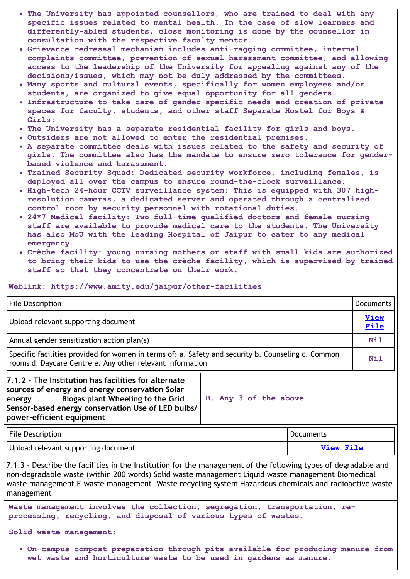- **The University has appointed counsellors, who are trained to deal with any specific issues related to mental health. In the case of slow learners and differently-abled students, close monitoring is done by the counsellor in consultation with the respective faculty mentor.**
- **Grievance redressal mechanism includes anti-ragging committee, internal complaints committee, prevention of sexual harassment committee, and allowing access to the leadership of the University for appealing against any of the decisions/issues, which may not be duly addressed by the committees.**
- **Many sports and cultural events, specifically for women employees and/or students, are organized to give equal opportunity for all genders.**
- **Infrastructure to take care of gender-specific needs and creation of private spaces for faculty, students, and other staff Separate Hostel for Boys & Girls:**
- **The University has a separate residential facility for girls and boys.**
- **Outsiders are not allowed to enter the residential premises.**
- **A separate committee deals with issues related to the safety and security of girls. The committee also has the mandate to ensure zero tolerance for genderbased violence and harassment.**
- **Trained Security Squad: Dedicated security workforce, including females, is deployed all over the campus to ensure round-the-clock surveillance.**
- **High-tech 24-hour CCTV surveillance system: This is equipped with 307 highresolution cameras, a dedicated server and operated through a centralized control room by security personnel with rotational duties.**
- **24\*7 Medical facility: Two full-time qualified doctors and female nursing staff are available to provide medical care to the students. The University has also MoU with the leading Hospital of Jaipur to cater to any medical emergency.**
- **Crèche facility: young nursing mothers or staff with small kids are authorized to bring their kids to use the crèche facility, which is supervised by trained staff so that they concentrate on their work.**

**Weblink: https://www.amity.edu/jaipur/other-facilities**

| File Description                                                                                                                                                |                       | <b>Documents</b>    |
|-----------------------------------------------------------------------------------------------------------------------------------------------------------------|-----------------------|---------------------|
| Upload relevant supporting document                                                                                                                             |                       | <b>View</b><br>File |
| Annual gender sensitization action plan(s)                                                                                                                      |                       | <b>Nil</b>          |
| Specific facilities provided for women in terms of: a. Safety and security b. Counseling c. Common<br>rooms d. Daycare Centre e. Any other relevant information |                       | Nil                 |
| 7.1.2 - The Institution has facilities for alternate<br>sources of energy and energy conservation Solar<br>Biogas plant Wheeling to the Grid<br>energy          | B. Any 3 of the above |                     |

**Sensor-based energy conservation Use of LED bulbs/ power-efficient equipment**

| File Description                    | Documents |
|-------------------------------------|-----------|
| Upload relevant supporting document | View File |

7.1.3 - Describe the facilities in the Institution for the management of the following types of degradable and non-degradable waste (within 200 words) Solid waste management Liquid waste management Biomedical waste management E-waste management Waste recycling system Hazardous chemicals and radioactive waste management

**Waste management involves the collection, segregation, transportation, reprocessing, recycling, and disposal of various types of wastes.**

**Solid waste management:**

**On-campus compost preparation through pits available for producing manure from wet waste and horticulture waste to be used in gardens as manure.**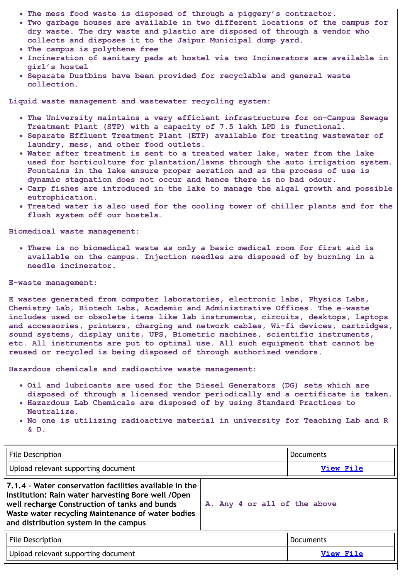- **The mess food waste is disposed of through a piggery's contractor.**
- **Two garbage houses are available in two different locations of the campus for dry waste. The dry waste and plastic are disposed of through a vendor who collects and disposes it to the Jaipur Municipal dump yard.**
- **The campus is polythene free**
- **Incineration of sanitary pads at hostel via two Incinerators are available in girl's hostel**
- **Separate Dustbins have been provided for recyclable and general waste collection.**

**Liquid waste management and wastewater recycling system:**

- **The University maintains a very efficient infrastructure for on-Campus Sewage Treatment Plant (STP) with a capacity of 7.5 lakh LPD is functional.**
- **Separate Effluent Treatment Plant (ETP) available for treating wastewater of laundry, mess, and other food outlets.**
- **Water after treatment is sent to a treated water lake, water from the lake used for horticulture for plantation/lawns through the auto irrigation system. Fountains in the lake ensure proper aeration and as the process of use is dynamic stagnation does not occur and hence there is no bad odour.**
- **Carp fishes are introduced in the lake to manage the algal growth and possible eutrophication.**
- **Treated water is also used for the cooling tower of chiller plants and for the flush system off our hostels.**

**Biomedical waste management:**

**There is no biomedical waste as only a basic medical room for first aid is available on the campus. Injection needles are disposed of by burning in a needle incinerator.**

#### **E-waste management:**

**E wastes generated from computer laboratories, electronic labs, Physics Labs, Chemistry Lab, Biotech Labs, Academic and Administrative Offices. The e-waste includes used or obsolete items like lab instruments, circuits, desktops, laptops and accessories, printers, charging and network cables, Wi-fi devices, cartridges, sound systems, display units, UPS, Biometric machines, scientific instruments, etc. All instruments are put to optimal use. All such equipment that cannot be reused or recycled is being disposed of through authorized vendors.**

**Hazardous chemicals and radioactive waste management:**

- **Oil and lubricants are used for the Diesel Generators (DG) sets which are disposed of through a licensed vendor periodically and a certificate is taken.**
- **Hazardous Lab Chemicals are disposed of by using Standard Practices to Neutralize.**
- **No one is utilizing radioactive material in university for Teaching Lab and R & D.**

| File Description                                                                                                                                                                                                                                             |                              | <b>Documents</b> |
|--------------------------------------------------------------------------------------------------------------------------------------------------------------------------------------------------------------------------------------------------------------|------------------------------|------------------|
| Upload relevant supporting document                                                                                                                                                                                                                          |                              | View File        |
| 7.1.4 - Water conservation facilities available in the<br>Institution: Rain water harvesting Bore well / Open<br>well recharge Construction of tanks and bunds<br>Waste water recycling Maintenance of water bodies<br>and distribution system in the campus | A. Any 4 or all of the above |                  |
| <b>File Description</b>                                                                                                                                                                                                                                      |                              | <b>Documents</b> |
| Upload relevant supporting document                                                                                                                                                                                                                          |                              | View File        |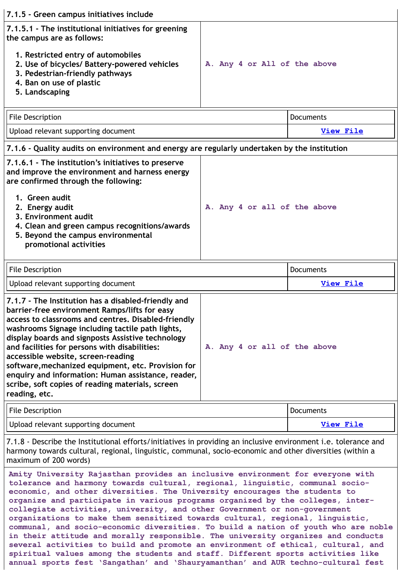| 7.1.5 - Green campus initiatives include                                                                                                                            |                              |
|---------------------------------------------------------------------------------------------------------------------------------------------------------------------|------------------------------|
| 7.1.5.1 - The institutional initiatives for greening<br>the campus are as follows:                                                                                  |                              |
| 1. Restricted entry of automobiles<br>2. Use of bicycles/ Battery-powered vehicles<br>3. Pedestrian-friendly pathways<br>4. Ban on use of plastic<br>5. Landscaping | A. Any 4 or All of the above |

| File Description                    | Documents        |
|-------------------------------------|------------------|
| Upload relevant supporting document | <b>View File</b> |

| 7.1.6 - Quality audits on environment and energy are regularly undertaken by the institution                                                                               |                              |  |
|----------------------------------------------------------------------------------------------------------------------------------------------------------------------------|------------------------------|--|
| 7.1.6.1 - The institution's initiatives to preserve<br>and improve the environment and harness energy<br>are confirmed through the following:                              |                              |  |
| 1. Green audit<br>2. Energy audit<br>3. Environment audit<br>4. Clean and green campus recognitions/awards<br>5. Beyond the campus environmental<br>promotional activities | A. Any 4 or all of the above |  |

| File Description                                                                                     | <b>Documents</b> |
|------------------------------------------------------------------------------------------------------|------------------|
| Upload relevant supporting document                                                                  | View File        |
| 7.1.7 - The Institution has a disabled-friendly and<br>harrier-free environment Ramns/lifts for easy |                  |

| barrier-free environment Ramps/lifts for easy<br>access to classrooms and centres. Disabled-friendly<br>washrooms Signage including tactile path lights,<br>display boards and signposts Assistive technology<br>and facilities for persons with disabilities:<br>accessible website, screen-reading<br>software, mechanized equipment, etc. Provision for | A. Any 4 or all of the above |
|------------------------------------------------------------------------------------------------------------------------------------------------------------------------------------------------------------------------------------------------------------------------------------------------------------------------------------------------------------|------------------------------|
| enquiry and information: Human assistance, reader,                                                                                                                                                                                                                                                                                                         |                              |
| scribe, soft copies of reading materials, screen                                                                                                                                                                                                                                                                                                           |                              |
| reading, etc.                                                                                                                                                                                                                                                                                                                                              |                              |

| File Description                    | Documents        |
|-------------------------------------|------------------|
| Upload relevant supporting document | <b>View File</b> |

7.1.8 - Describe the Institutional efforts/initiatives in providing an inclusive environment i.e. tolerance and harmony towards cultural, regional, linguistic, communal, socio-economic and other diversities (within a maximum of 200 words)

**Amity University Rajasthan provides an inclusive environment for everyone with tolerance and harmony towards cultural, regional, linguistic, communal socioeconomic, and other diversities. The University encourages the students to organize and participate in various programs organized by the colleges, intercollegiate activities, university, and other Government or non-government organizations to make them sensitized towards cultural, regional, linguistic, communal, and socio-economic diversities. To build a nation of youth who are noble in their attitude and morally responsible. The university organizes and conducts several activities to build and promote an environment of ethical, cultural, and spiritual values among the students and staff. Different sports activities like annual sports fest 'Sangathan' and 'Shauryamanthan' and AUR techno-cultural fest**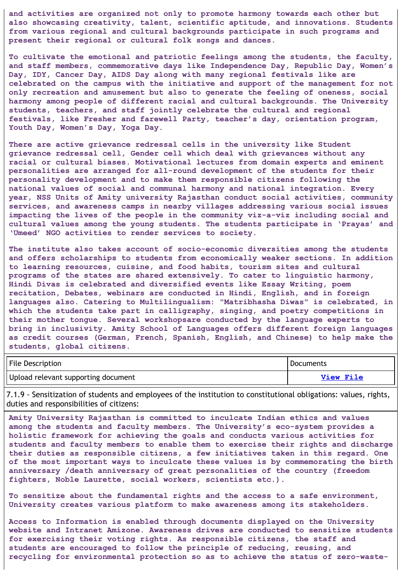**and activities are organized not only to promote harmony towards each other but also showcasing creativity, talent, scientific aptitude, and innovations. Students from various regional and cultural backgrounds participate in such programs and present their regional or cultural folk songs and dances.**

**To cultivate the emotional and patriotic feelings among the students, the faculty, and staff members, commemorative days like Independence Day, Republic Day, Women's Day, IDY, Cancer Day, AIDS Day along with many regional festivals like are celebrated on the campus with the initiative and support of the management for not only recreation and amusement but also to generate the feeling of oneness, social harmony among people of different racial and cultural backgrounds. The University students, teachers, and staff jointly celebrate the cultural and regional festivals, like Fresher and farewell Party, teacher's day, orientation program, Youth Day, Women's Day, Yoga Day.**

**There are active grievance redressal cells in the university like Student grievance redressal cell, Gender cell which deal with grievances without any racial or cultural biases. Motivational lectures from domain experts and eminent personalities are arranged for all-round development of the students for their personality development and to make them responsible citizens following the national values of social and communal harmony and national integration. Every year, NSS Units of Amity university Rajasthan conduct social activities, community services, and awareness camps in nearby villages addressing various social issues impacting the lives of the people in the community viz-a-viz including social and cultural values among the young students. The students participate in 'Prayas' and 'Umeed' NGO activities to render services to society.**

**The institute also takes account of socio-economic diversities among the students and offers scholarships to students from economically weaker sections. In addition to learning resources, cuisine, and food habits, tourism sites and cultural programs of the states are shared extensively. To cater to linguistic harmony, Hindi Divas is celebrated and diversified events like Essay Writing, poem recitation, Debates, webinars are conducted in Hindi, English, and in foreign languages also. Catering to Multilingualism: "Matribhasha Diwas" is celebrated, in which the students take part in calligraphy, singing, and poetry competitions in their mother tongue. Several workshopsare conducted by the language experts to bring in inclusivity. Amity School of Languages offers different foreign languages as credit courses (German, French, Spanish, English, and Chinese) to help make the students, global citizens.**

| File Description                    | Documents        |
|-------------------------------------|------------------|
| Upload relevant supporting document | <b>View File</b> |

7.1.9 - Sensitization of students and employees of the institution to constitutional obligations: values, rights, duties and responsibilities of citizens:

**Amity University Rajasthan is committed to inculcate Indian ethics and values among the students and faculty members. The University's eco-system provides a holistic framework for achieving the goals and conducts various activities for students and faculty members to enable them to exercise their rights and discharge their duties as responsible citizens, a few initiatives taken in this regard. One of the most important ways to inculcate these values is by commemorating the birth anniversary /death anniversary of great personalities of the country (freedom fighters, Noble Laurette, social workers, scientists etc.).**

**To sensitize about the fundamental rights and the access to a safe environment, University creates various platform to make awareness among its stakeholders.**

**Access to Information is enabled through documents displayed on the University website and Intranet Amizone. Awareness drives are conducted to sensitize students for exercising their voting rights. As responsible citizens, the staff and students are encouraged to follow the principle of reducing, reusing, and recycling for environmental protection so as to achieve the status of zero-waste-**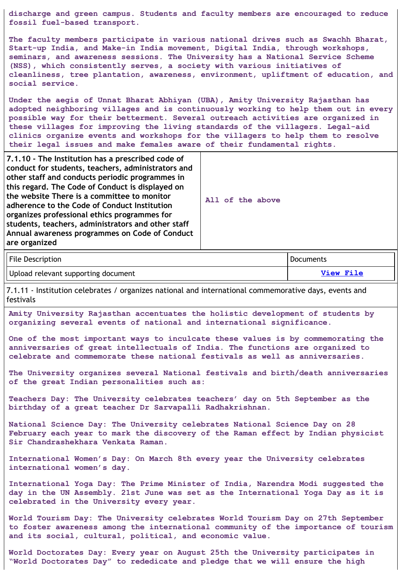**discharge and green campus. Students and faculty members are encouraged to reduce fossil fuel-based transport.**

**The faculty members participate in various national drives such as Swachh Bharat, Start-up India, and Make-in India movement, Digital India, through workshops, seminars, and awareness sessions. The University has a National Service Scheme (NSS), which consistently serves, a society with various initiatives of cleanliness, tree plantation, awareness, environment, upliftment of education, and social service.**

**Under the aegis of Unnat Bharat Abhiyan (UBA), Amity University Rajasthan has adopted neighboring villages and is continuously working to help them out in every possible way for their betterment. Several outreach activities are organized in these villages for improving the living standards of the villagers. Legal-aid clinics organize events and workshops for the villagers to help them to resolve their legal issues and make females aware of their fundamental rights.**

**7.1.10 - The Institution has a prescribed code of conduct for students, teachers, administrators and other staff and conducts periodic programmes in this regard. The Code of Conduct is displayed on the website There is a committee to monitor adherence to the Code of Conduct Institution organizes professional ethics programmes for students, teachers, administrators and other staff Annual awareness programmes on Code of Conduct are organized**

**All of the above**

| File Description                    | <b>Documents</b> |
|-------------------------------------|------------------|
| Upload relevant supporting document | View File        |

7.1.11 - Institution celebrates / organizes national and international commemorative days, events and festivals

**Amity University Rajasthan accentuates the holistic development of students by organizing several events of national and international significance.**

**One of the most important ways to inculcate these values is by commemorating the anniversaries of great intellectuals of India. The functions are organized to celebrate and commemorate these national festivals as well as anniversaries.**

**The University organizes several National festivals and birth/death anniversaries of the great Indian personalities such as:**

**Teachers Day: The University celebrates teachers' day on 5th September as the birthday of a great teacher Dr Sarvapalli Radhakrishnan.**

**National Science Day: The University celebrates National Science Day on 28 February each year to mark the discovery of the Raman effect by Indian physicist Sir Chandrashekhara Venkata Raman.**

**International Women's Day: On March 8th every year the University celebrates international women's day.**

**International Yoga Day: The Prime Minister of India, Narendra Modi suggested the day in the UN Assembly. 21st June was set as the International Yoga Day as it is celebrated in the University every year.**

**World Tourism Day: The University celebrates World Tourism Day on 27th September to foster awareness among the international community of the importance of tourism and its social, cultural, political, and economic value.**

**World Doctorates Day: Every year on August 25th the University participates in "World Doctorates Day" to rededicate and pledge that we will ensure the high**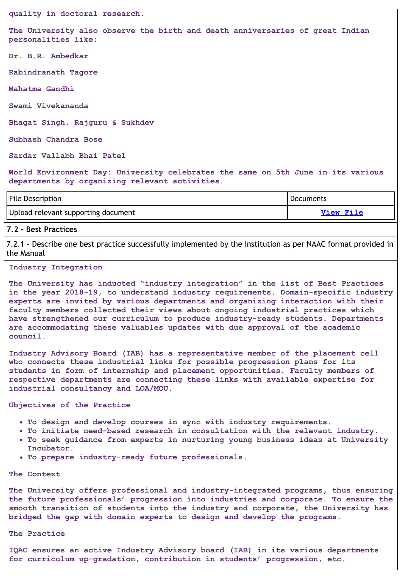**quality in doctoral research.**

**The University also observe the birth and death anniversaries of great Indian personalities like:**

**Dr. B.R. Ambedkar**

**Rabindranath Tagore**

**Mahatma Gandhi**

**Swami Vivekananda**

**Bhagat Singh, Rajguru & Sukhdev**

**Subhash Chandra Bose**

**Sardar Vallabh Bhai Patel**

**World Environment Day: University celebrates the same on 5th June in its various departments by organizing relevant activities.**

| File Description                    | <b>Documents</b> |
|-------------------------------------|------------------|
| Upload relevant supporting document | <b>View File</b> |

#### **7.2 - Best Practices**

7.2.1 - Describe one best practice successfully implemented by the Institution as per NAAC format provided in the Manual

#### **Industry Integration**

**The University has inducted "industry integration" in the list of Best Practices in the year 2018-19, to understand industry requirements. Domain-specific industry experts are invited by various departments and organizing interaction with their faculty members collected their views about ongoing industrial practices which have strengthened our curriculum to produce industry-ready students. Departments are accommodating these valuables updates with due approval of the academic council.**

**Industry Advisory Board (IAB) has a representative member of the placement cell who connects these industrial links for possible progression plans for its students in form of internship and placement opportunities. Faculty members of respective departments are connecting these links with available expertise for industrial consultancy and LOA/MOU.**

#### **Objectives of the Practice**

- **To design and develop courses in sync with industry requirements.**
- **To initiate need-based research in consultation with the relevant industry.**
- **To seek guidance from experts in nurturing young business ideas at University Incubator.**
- **To prepare industry-ready future professionals.**

#### **The Context**

**The University offers professional and industry-integrated programs, thus ensuring the future professionals' progression into industries and corporate. To ensure the smooth transition of students into the industry and corporate, the University has bridged the gap with domain experts to design and develop the programs.**

#### **The Practice**

**IQAC ensures an active Industry Advisory board (IAB) in its various departments for curriculum up-gradation, contribution in students' progression, etc.**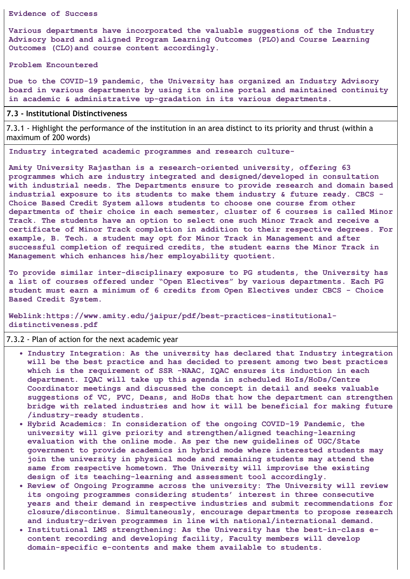#### **Evidence of Success**

**Various departments have incorporated the valuable suggestions of the Industry Advisory board and aligned Program Learning Outcomes (PLO)and Course Learning Outcomes (CLO)and course content accordingly.**

**Problem Encountered**

**Due to the COVID-19 pandemic, the University has organized an Industry Advisory board in various departments by using its online portal and maintained continuity in academic & administrative up-gradation in its various departments.**

#### **7.3 - Institutional Distinctiveness**

7.3.1 - Highlight the performance of the institution in an area distinct to its priority and thrust (within a maximum of 200 words)

**Industry integrated academic programmes and research culture-**

**Amity University Rajasthan is a research-oriented university, offering 63 programmes which are industry integrated and designed/developed in consultation with industrial needs. The Departments ensure to provide research and domain based industrial exposure to its students to make them industry & future ready. CBCS - Choice Based Credit System allows students to choose one course from other departments of their choice in each semester, cluster of 6 courses is called Minor Track. The students have an option to select one such Minor Track and receive a certificate of Minor Track completion in addition to their respective degrees. For example, B. Tech. a student may opt for Minor Track in Management and after successful completion of required credits, the student earns the Minor Track in Management which enhances his/her employability quotient.**

**To provide similar inter-disciplinary exposure to PG students, the University has a list of courses offered under "Open Electives" by various departments. Each PG student must earn a minimum of 6 credits from Open Electives under CBCS - Choice Based Credit System.**

**Weblink:https://www.amity.edu/jaipur/pdf/best-practices-institutionaldistinctiveness.pdf**

#### 7.3.2 - Plan of action for the next academic year

- **Industry Integration: As the university has declared that Industry integration will be the best practice and has decided to present among two best practices which is the requirement of SSR -NAAC, IQAC ensures its induction in each department. IQAC will take up this agenda in scheduled HoIs/HoDs/Centre Coordinator meetings and discussed the concept in detail and seeks valuable suggestions of VC, PVC, Deans, and HoDs that how the department can strengthen bridge with related industries and how it will be beneficial for making future /industry-ready students.**
- **Hybrid Academics: In consideration of the ongoing COVID-19 Pandemic, the university will give priority and strengthen/aligned teaching-learning evaluation with the online mode. As per the new guidelines of UGC/State government to provide academics in hybrid mode where interested students may join the university in physical mode and remaining students may attend the same from respective hometown. The University will improvise the existing design of its teaching-learning and assessment tool accordingly.**
- **Review of Ongoing Programme across the university: The University will review its ongoing programmes considering students' interest in three consecutive years and their demand in respective industries and submit recommendations for closure/discontinue. Simultaneously, encourage departments to propose research and industry-driven programmes in line with national/international demand.**
- **Institutional LMS strengthening: As the University has the best-in-class econtent recording and developing facility, Faculty members will develop domain-specific e-contents and make them available to students.**